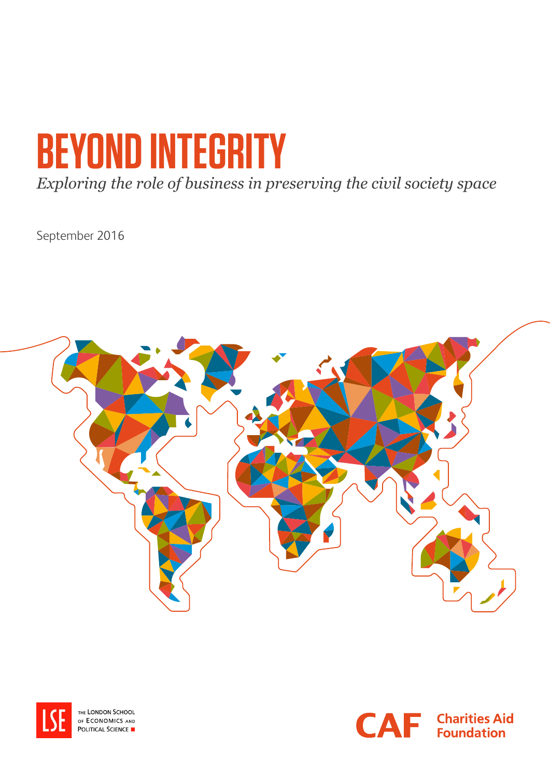# **BEYOND INTEGRITY**

*Exploring the role of business in preserving the civil society space*

September 2016





THE LONDON SCHOOL OF ECONOMICS AND **POLITICAL SCIENCE** 

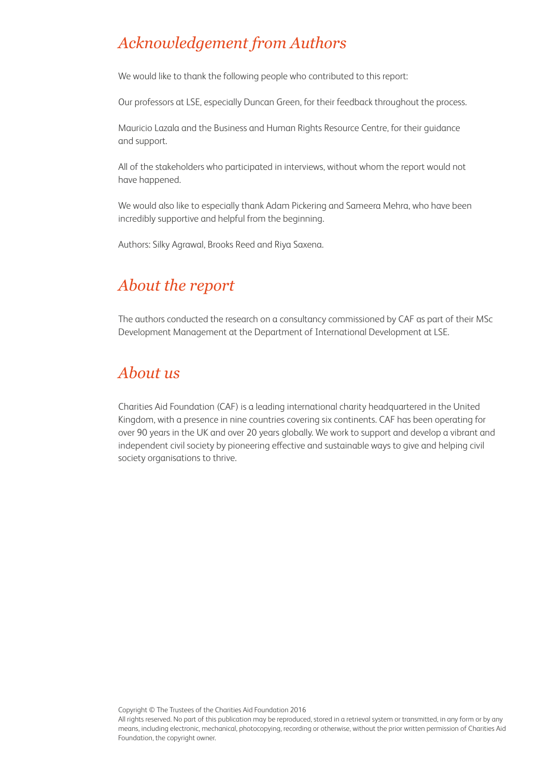# *Acknowledgement from Authors*

We would like to thank the following people who contributed to this report:

Our professors at LSE, especially Duncan Green, for their feedback throughout the process.

Mauricio Lazala and the Business and Human Rights Resource Centre, for their guidance and support.

All of the stakeholders who participated in interviews, without whom the report would not have happened.

We would also like to especially thank Adam Pickering and Sameera Mehra, who have been incredibly supportive and helpful from the beginning.

Authors: Silky Agrawal, Brooks Reed and Riya Saxena.

# *About the report*

The authors conducted the research on a consultancy commissioned by CAF as part of their MSc Development Management at the Department of International Development at LSE.

# *About us*

Charities Aid Foundation (CAF) is a leading international charity headquartered in the United Kingdom, with a presence in nine countries covering six continents. CAF has been operating for over 90 years in the UK and over 20 years globally. We work to support and develop a vibrant and independent civil society by pioneering effective and sustainable ways to give and helping civil society organisations to thrive.

Copyright © The Trustees of the Charities Aid Foundation 2016

All rights reserved. No part of this publication may be reproduced, stored in a retrieval system or transmitted, in any form or by any means, including electronic, mechanical, photocopying, recording or otherwise, without the prior written permission of Charities Aid Foundation, the copyright owner.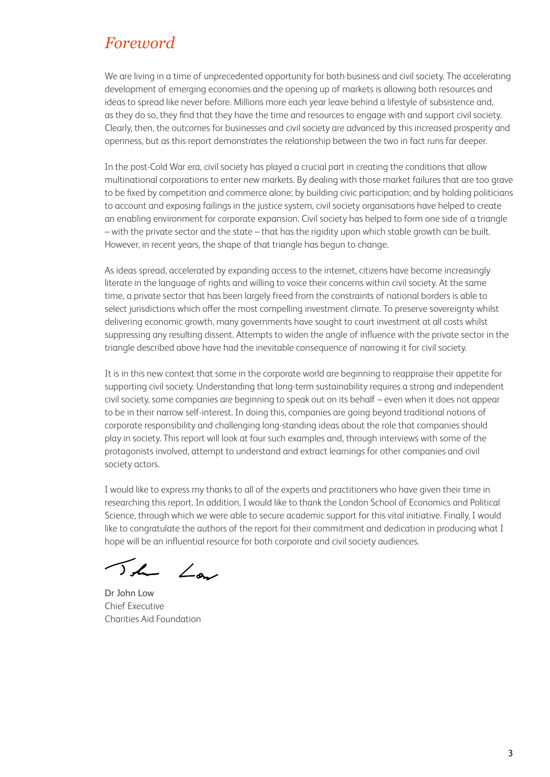# *Foreword*

We are living in a time of unprecedented opportunity for both business and civil society. The accelerating development of emerging economies and the opening up of markets is allowing both resources and ideas to spread like never before. Millions more each year leave behind a lifestyle of subsistence and, as they do so, they find that they have the time and resources to engage with and support civil society. Clearly, then, the outcomes for businesses and civil society are advanced by this increased prosperity and openness, but as this report demonstrates the relationship between the two in fact runs far deeper.

In the post-Cold War era, civil society has played a crucial part in creating the conditions that allow multinational corporations to enter new markets. By dealing with those market failures that are too grave to be fixed by competition and commerce alone; by building civic participation; and by holding politicians to account and exposing failings in the justice system, civil society organisations have helped to create an enabling environment for corporate expansion. Civil society has helped to form one side of a triangle – with the private sector and the state – that has the rigidity upon which stable growth can be built. However, in recent years, the shape of that triangle has begun to change.

As ideas spread, accelerated by expanding access to the internet, citizens have become increasingly literate in the language of rights and willing to voice their concerns within civil society. At the same time, a private sector that has been largely freed from the constraints of national borders is able to select jurisdictions which offer the most compelling investment climate. To preserve sovereignty whilst delivering economic growth, many governments have sought to court investment at all costs whilst suppressing any resulting dissent. Attempts to widen the angle of influence with the private sector in the triangle described above have had the inevitable consequence of narrowing it for civil society.

It is in this new context that some in the corporate world are beginning to reappraise their appetite for supporting civil society. Understanding that long-term sustainability requires a strong and independent civil society, some companies are beginning to speak out on its behalf – even when it does not appear to be in their narrow self-interest. In doing this, companies are going beyond traditional notions of corporate responsibility and challenging long-standing ideas about the role that companies should play in society. This report will look at four such examples and, through interviews with some of the protagonists involved, attempt to understand and extract learnings for other companies and civil society actors.

I would like to express my thanks to all of the experts and practitioners who have given their time in researching this report. In addition, I would like to thank the London School of Economics and Political Science, through which we were able to secure academic support for this vital initiative. Finally, I would like to congratulate the authors of the report for their commitment and dedication in producing what I hope will be an influential resource for both corporate and civil society audiences.

The Law

Dr John Low Chief Executive Charities Aid Foundation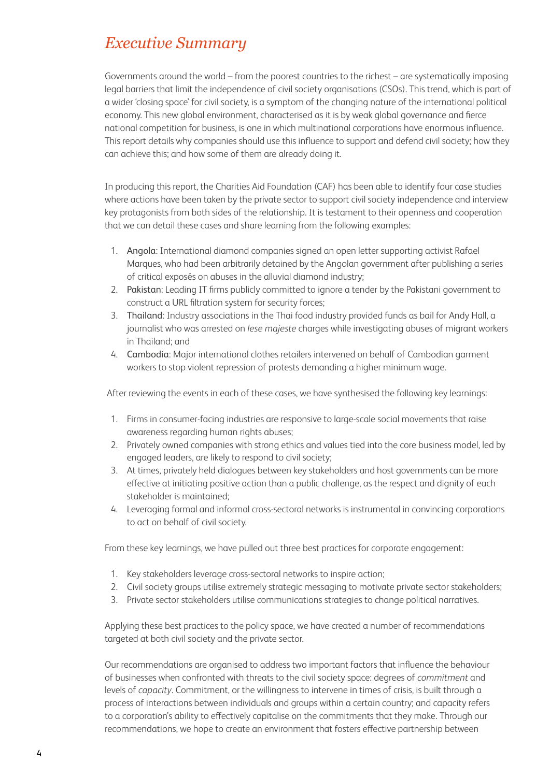# *Executive Summary*

Governments around the world – from the poorest countries to the richest – are systematically imposing legal barriers that limit the independence of civil society organisations (CSOs). This trend, which is part of a wider 'closing space' for civil society, is a symptom of the changing nature of the international political economy. This new global environment, characterised as it is by weak global governance and fierce national competition for business, is one in which multinational corporations have enormous influence. This report details why companies should use this influence to support and defend civil society; how they can achieve this; and how some of them are already doing it.

In producing this report, the Charities Aid Foundation (CAF) has been able to identify four case studies where actions have been taken by the private sector to support civil society independence and interview key protagonists from both sides of the relationship. It is testament to their openness and cooperation that we can detail these cases and share learning from the following examples:

- 1. Angola: International diamond companies signed an open letter supporting activist Rafael Marques, who had been arbitrarily detained by the Angolan government after publishing a series of critical exposés on abuses in the alluvial diamond industry;
- 2. Pakistan: Leading IT firms publicly committed to ignore a tender by the Pakistani government to construct a URL filtration system for security forces;
- 3. Thailand: Industry associations in the Thai food industry provided funds as bail for Andy Hall, a journalist who was arrested on *lese majeste* charges while investigating abuses of migrant workers in Thailand; and
- 4. Cambodia: Major international clothes retailers intervened on behalf of Cambodian garment workers to stop violent repression of protests demanding a higher minimum wage.

After reviewing the events in each of these cases, we have synthesised the following key learnings:

- 1. Firms in consumer-facing industries are responsive to large-scale social movements that raise awareness regarding human rights abuses;
- 2. Privately owned companies with strong ethics and values tied into the core business model, led by engaged leaders, are likely to respond to civil society;
- 3. At times, privately held dialogues between key stakeholders and host governments can be more effective at initiating positive action than a public challenge, as the respect and dignity of each stakeholder is maintained;
- 4. Leveraging formal and informal cross-sectoral networks is instrumental in convincing corporations to act on behalf of civil society.

From these key learnings, we have pulled out three best practices for corporate engagement:

- 1. Key stakeholders leverage cross-sectoral networks to inspire action;
- 2. Civil society groups utilise extremely strategic messaging to motivate private sector stakeholders;
- 3. Private sector stakeholders utilise communications strategies to change political narratives.

Applying these best practices to the policy space, we have created a number of recommendations targeted at both civil society and the private sector.

Our recommendations are organised to address two important factors that influence the behaviour of businesses when confronted with threats to the civil society space: degrees of *commitment* and levels of *capacity*. Commitment, or the willingness to intervene in times of crisis, is built through a process of interactions between individuals and groups within a certain country; and capacity refers to a corporation's ability to effectively capitalise on the commitments that they make. Through our recommendations, we hope to create an environment that fosters effective partnership between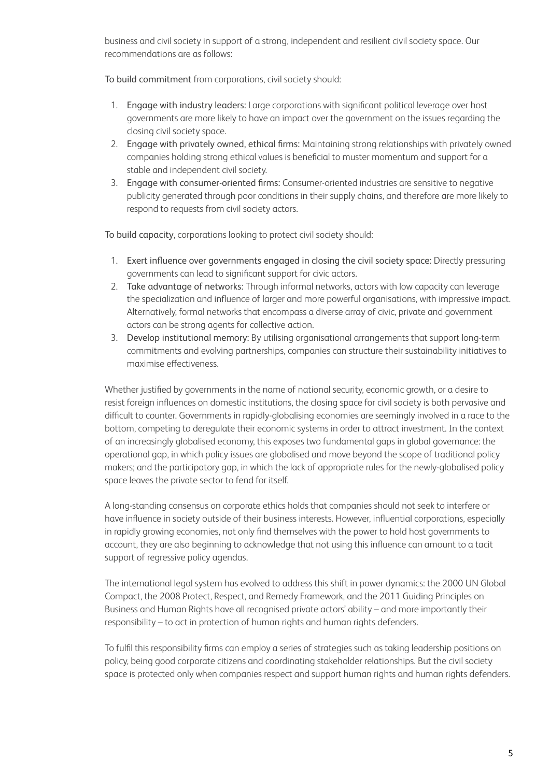business and civil society in support of a strong, independent and resilient civil society space. Our recommendations are as follows:

To build commitment from corporations, civil society should:

- 1. Engage with industry leaders: Large corporations with significant political leverage over host governments are more likely to have an impact over the government on the issues regarding the closing civil society space.
- 2. Engage with privately owned, ethical firms: Maintaining strong relationships with privately owned companies holding strong ethical values is beneficial to muster momentum and support for a stable and independent civil society.
- 3. Engage with consumer-oriented firms: Consumer-oriented industries are sensitive to negative publicity generated through poor conditions in their supply chains, and therefore are more likely to respond to requests from civil society actors.

To build capacity, corporations looking to protect civil society should:

- 1. Exert influence over governments engaged in closing the civil society space: Directly pressuring governments can lead to significant support for civic actors.
- 2. Take advantage of networks: Through informal networks, actors with low capacity can leverage the specialization and influence of larger and more powerful organisations, with impressive impact. Alternatively, formal networks that encompass a diverse array of civic, private and government actors can be strong agents for collective action.
- 3. Develop institutional memory: By utilising organisational arrangements that support long-term commitments and evolving partnerships, companies can structure their sustainability initiatives to maximise effectiveness.

Whether justified by governments in the name of national security, economic growth, or a desire to resist foreign influences on domestic institutions, the closing space for civil society is both pervasive and difficult to counter. Governments in rapidly-globalising economies are seemingly involved in a race to the bottom, competing to deregulate their economic systems in order to attract investment. In the context of an increasingly globalised economy, this exposes two fundamental gaps in global governance: the operational gap, in which policy issues are globalised and move beyond the scope of traditional policy makers; and the participatory gap, in which the lack of appropriate rules for the newly-globalised policy space leaves the private sector to fend for itself.

A long-standing consensus on corporate ethics holds that companies should not seek to interfere or have influence in society outside of their business interests. However, influential corporations, especially in rapidly growing economies, not only find themselves with the power to hold host governments to account, they are also beginning to acknowledge that not using this influence can amount to a tacit support of regressive policy agendas.

The international legal system has evolved to address this shift in power dynamics: the 2000 UN Global Compact, the 2008 Protect, Respect, and Remedy Framework, and the 2011 Guiding Principles on Business and Human Rights have all recognised private actors' ability – and more importantly their responsibility – to act in protection of human rights and human rights defenders.

To fulfil this responsibility firms can employ a series of strategies such as taking leadership positions on policy, being good corporate citizens and coordinating stakeholder relationships. But the civil society space is protected only when companies respect and support human rights and human rights defenders.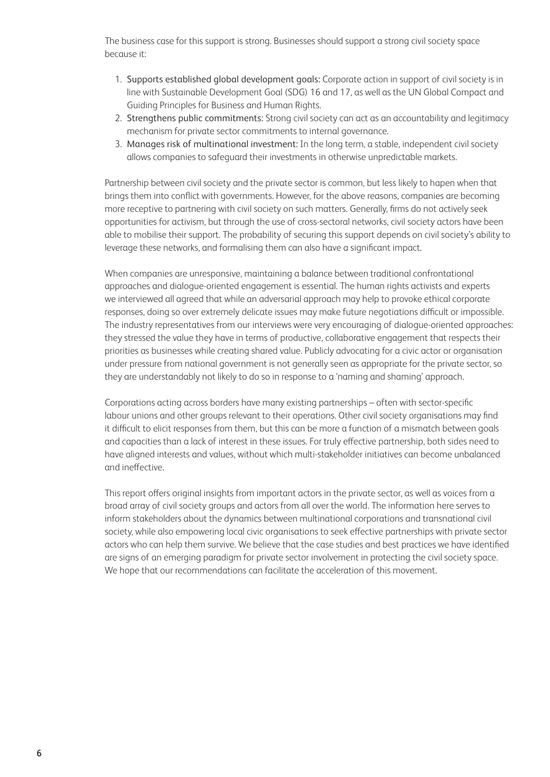The business case for this support is strong. Businesses should support a strong civil society space because it:

- 1. Supports established global development goals: Corporate action in support of civil society is in line with Sustainable Development Goal (SDG) 16 and 17, as well as the UN Global Compact and Guiding Principles for Business and Human Rights.
- 2. Strengthens public commitments: Strong civil society can act as an accountability and legitimacy mechanism for private sector commitments to internal governance.
- 3. Manages risk of multinational investment: In the long term, a stable, independent civil society allows companies to safeguard their investments in otherwise unpredictable markets.

Partnership between civil society and the private sector is common, but less likely to hapen when that brings them into conflict with governments. However, for the above reasons, companies are becoming more receptive to partnering with civil society on such matters. Generally, firms do not actively seek opportunities for activism, but through the use of cross-sectoral networks, civil society actors have been able to mobilise their support. The probability of securing this support depends on civil society's ability to leverage these networks, and formalising them can also have a significant impact.

When companies are unresponsive, maintaining a balance between traditional confrontational approaches and dialogue-oriented engagement is essential. The human rights activists and experts we interviewed all agreed that while an adversarial approach may help to provoke ethical corporate responses, doing so over extremely delicate issues may make future negotiations difficult or impossible. The industry representatives from our interviews were very encouraging of dialogue-oriented approaches: they stressed the value they have in terms of productive, collaborative engagement that respects their priorities as businesses while creating shared value. Publicly advocating for a civic actor or organisation under pressure from national government is not generally seen as appropriate for the private sector, so they are understandably not likely to do so in response to a 'naming and shaming' approach.

Corporations acting across borders have many existing partnerships – often with sector-specific labour unions and other groups relevant to their operations. Other civil society organisations may find it difficult to elicit responses from them, but this can be more a function of a mismatch between goals and capacities than a lack of interest in these issues. For truly effective partnership, both sides need to have aligned interests and values, without which multi-stakeholder initiatives can become unbalanced and ineffective.

This report offers original insights from important actors in the private sector, as well as voices from a broad array of civil society groups and actors from all over the world. The information here serves to inform stakeholders about the dynamics between multinational corporations and transnational civil society, while also empowering local civic organisations to seek effective partnerships with private sector actors who can help them survive. We believe that the case studies and best practices we have identified are signs of an emerging paradigm for private sector involvement in protecting the civil society space. We hope that our recommendations can facilitate the acceleration of this movement.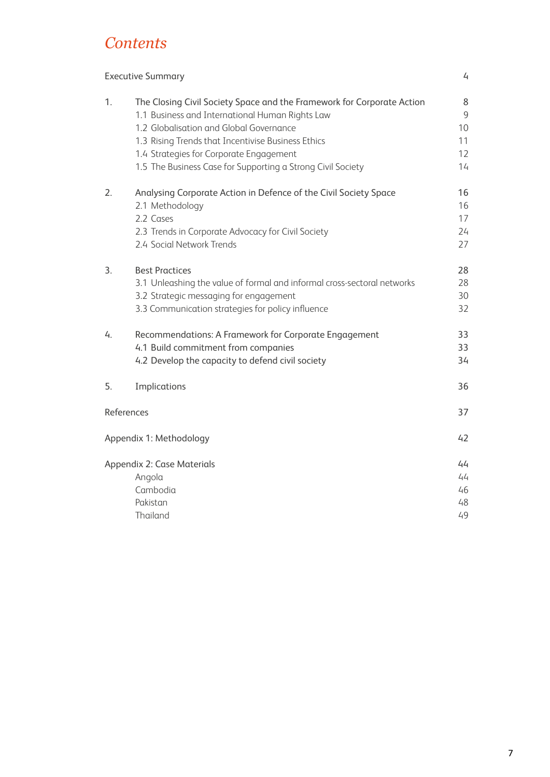# *Contents*

|            | <b>Executive Summary</b>                                                                                                                                                                                                                                                                                                             | 4                              |
|------------|--------------------------------------------------------------------------------------------------------------------------------------------------------------------------------------------------------------------------------------------------------------------------------------------------------------------------------------|--------------------------------|
| 1.         | The Closing Civil Society Space and the Framework for Corporate Action<br>1.1 Business and International Human Rights Law<br>1.2 Globalisation and Global Governance<br>1.3 Rising Trends that Incentivise Business Ethics<br>1.4 Strategies for Corporate Engagement<br>1.5 The Business Case for Supporting a Strong Civil Society | 8<br>9<br>10<br>11<br>12<br>14 |
| 2.         | Analysing Corporate Action in Defence of the Civil Society Space<br>2.1 Methodology<br>2.2 Cases<br>2.3 Trends in Corporate Advocacy for Civil Society<br>2.4 Social Network Trends                                                                                                                                                  | 16<br>16<br>17<br>24<br>27     |
| 3.         | <b>Best Practices</b><br>3.1 Unleashing the value of formal and informal cross-sectoral networks<br>3.2 Strategic messaging for engagement<br>3.3 Communication strategies for policy influence                                                                                                                                      | 28<br>28<br>30<br>32           |
| 4.         | Recommendations: A Framework for Corporate Engagement<br>4.1 Build commitment from companies<br>4.2 Develop the capacity to defend civil society                                                                                                                                                                                     | 33<br>33<br>34                 |
| 5.         | Implications                                                                                                                                                                                                                                                                                                                         | 36                             |
| References |                                                                                                                                                                                                                                                                                                                                      | 37                             |
|            | Appendix 1: Methodology                                                                                                                                                                                                                                                                                                              | 42                             |
|            | Appendix 2: Case Materials<br>Angola<br>Cambodia<br>Pakistan<br>Thailand                                                                                                                                                                                                                                                             | 44<br>44<br>46<br>48<br>49     |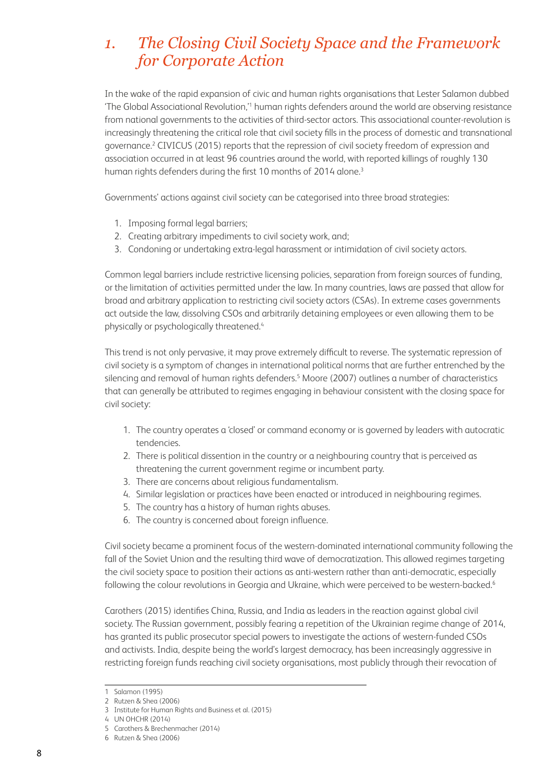# *1. The Closing Civil Society Space and the Framework for Corporate Action*

In the wake of the rapid expansion of civic and human rights organisations that Lester Salamon dubbed 'The Global Associational Revolution,'1 human rights defenders around the world are observing resistance from national governments to the activities of third-sector actors. This associational counter-revolution is increasingly threatening the critical role that civil society fills in the process of domestic and transnational governance.<sup>2</sup> CIVICUS (2015) reports that the repression of civil society freedom of expression and association occurred in at least 96 countries around the world, with reported killings of roughly 130 human rights defenders during the first 10 months of 2014 alone.<sup>3</sup>

Governments' actions against civil society can be categorised into three broad strategies:

- 1. Imposing formal legal barriers;
- 2. Creating arbitrary impediments to civil society work, and;
- 3. Condoning or undertaking extra-legal harassment or intimidation of civil society actors.

Common legal barriers include restrictive licensing policies, separation from foreign sources of funding, or the limitation of activities permitted under the law. In many countries, laws are passed that allow for broad and arbitrary application to restricting civil society actors (CSAs). In extreme cases governments act outside the law, dissolving CSOs and arbitrarily detaining employees or even allowing them to be physically or psychologically threatened.<sup>4</sup>

This trend is not only pervasive, it may prove extremely difficult to reverse. The systematic repression of civil society is a symptom of changes in international political norms that are further entrenched by the silencing and removal of human rights defenders.<sup>5</sup> Moore (2007) outlines a number of characteristics that can generally be attributed to regimes engaging in behaviour consistent with the closing space for civil society:

- 1. The country operates a 'closed' or command economy or is governed by leaders with autocratic tendencies.
- 2. There is political dissention in the country or a neighbouring country that is perceived as threatening the current government regime or incumbent party.
- 3. There are concerns about religious fundamentalism.
- 4. Similar legislation or practices have been enacted or introduced in neighbouring regimes.
- 5. The country has a history of human rights abuses.
- 6. The country is concerned about foreign influence.

Civil society became a prominent focus of the western-dominated international community following the fall of the Soviet Union and the resulting third wave of democratization. This allowed regimes targeting the civil society space to position their actions as anti-western rather than anti-democratic, especially following the colour revolutions in Georgia and Ukraine, which were perceived to be western-backed.<sup>6</sup>

Carothers (2015) identifies China, Russia, and India as leaders in the reaction against global civil society. The Russian government, possibly fearing a repetition of the Ukrainian regime change of 2014, has granted its public prosecutor special powers to investigate the actions of western-funded CSOs and activists. India, despite being the world's largest democracy, has been increasingly aggressive in restricting foreign funds reaching civil society organisations, most publicly through their revocation of

<sup>1</sup> Salamon (1995)

<sup>2</sup> Rutzen & Shea (2006)

<sup>3</sup> Institute for Human Rights and Business et al. (2015)

<sup>4</sup> UN OHCHR (2014)

<sup>5</sup> Carothers & Brechenmacher (2014)

<sup>6</sup> Rutzen & Shea (2006)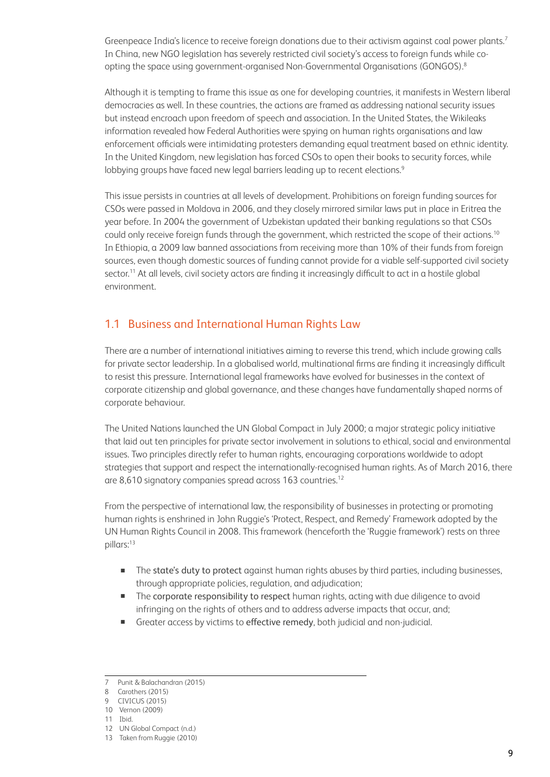Greenpeace India's licence to receive foreign donations due to their activism against coal power plants.<sup>7</sup> In China, new NGO legislation has severely restricted civil society's access to foreign funds while coopting the space using government-organised Non-Governmental Organisations (GONGOS).8

Although it is tempting to frame this issue as one for developing countries, it manifests in Western liberal democracies as well. In these countries, the actions are framed as addressing national security issues but instead encroach upon freedom of speech and association. In the United States, the Wikileaks information revealed how Federal Authorities were spying on human rights organisations and law enforcement officials were intimidating protesters demanding equal treatment based on ethnic identity. In the United Kingdom, new legislation has forced CSOs to open their books to security forces, while lobbying groups have faced new legal barriers leading up to recent elections.<sup>9</sup>

This issue persists in countries at all levels of development. Prohibitions on foreign funding sources for CSOs were passed in Moldova in 2006, and they closely mirrored similar laws put in place in Eritrea the year before. In 2004 the government of Uzbekistan updated their banking regulations so that CSOs could only receive foreign funds through the government, which restricted the scope of their actions.<sup>10</sup> In Ethiopia, a 2009 law banned associations from receiving more than 10% of their funds from foreign sources, even though domestic sources of funding cannot provide for a viable self-supported civil society sector.<sup>11</sup> At all levels, civil society actors are finding it increasingly difficult to act in a hostile global environment.

## 1.1 Business and International Human Rights Law

There are a number of international initiatives aiming to reverse this trend, which include growing calls for private sector leadership. In a globalised world, multinational firms are finding it increasingly difficult to resist this pressure. International legal frameworks have evolved for businesses in the context of corporate citizenship and global governance, and these changes have fundamentally shaped norms of corporate behaviour.

The United Nations launched the UN Global Compact in July 2000; a major strategic policy initiative that laid out ten principles for private sector involvement in solutions to ethical, social and environmental issues. Two principles directly refer to human rights, encouraging corporations worldwide to adopt strategies that support and respect the internationally-recognised human rights. As of March 2016, there are 8,610 signatory companies spread across 163 countries.<sup>12</sup>

From the perspective of international law, the responsibility of businesses in protecting or promoting human rights is enshrined in John Ruggie's 'Protect, Respect, and Remedy' Framework adopted by the UN Human Rights Council in 2008. This framework (henceforth the 'Ruggie framework') rests on three pillars:13

- The state's duty to protect against human rights abuses by third parties, including businesses, through appropriate policies, regulation, and adjudication;
- The corporate responsibility to respect human rights, acting with due diligence to avoid infringing on the rights of others and to address adverse impacts that occur, and;
- Greater access by victims to effective remedy, both judicial and non-judicial.

<sup>7</sup> Punit & Balachandran (2015)

<sup>8</sup> Carothers (2015)

<sup>9</sup> CIVICUS (2015)

<sup>10</sup> Vernon (2009)

<sup>11</sup> Ibid.

<sup>12</sup> UN Global Compact (n.d.)

<sup>13</sup> Taken from Ruggie (2010)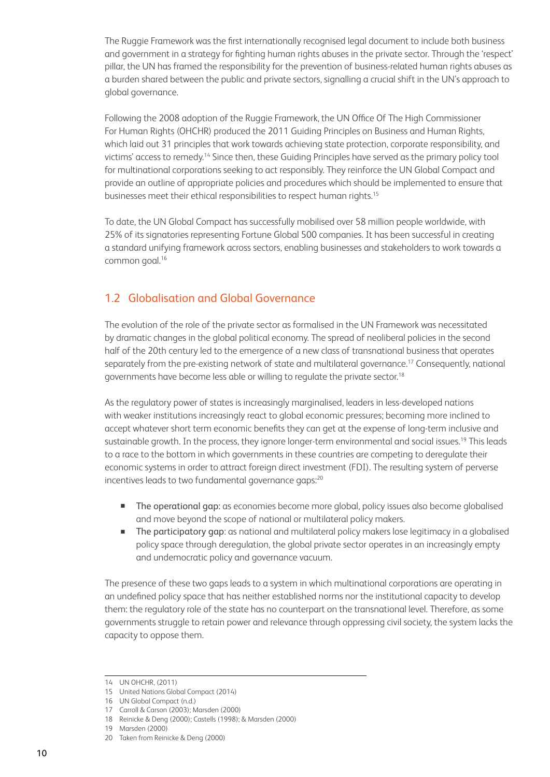The Ruggie Framework was the first internationally recognised legal document to include both business and government in a strategy for fighting human rights abuses in the private sector. Through the 'respect' pillar, the UN has framed the responsibility for the prevention of business-related human rights abuses as a burden shared between the public and private sectors, signalling a crucial shift in the UN's approach to global governance.

Following the 2008 adoption of the Ruggie Framework, the UN Office Of The High Commissioner For Human Rights (OHCHR) produced the 2011 Guiding Principles on Business and Human Rights, which laid out 31 principles that work towards achieving state protection, corporate responsibility, and victims' access to remedy.14 Since then, these Guiding Principles have served as the primary policy tool for multinational corporations seeking to act responsibly. They reinforce the UN Global Compact and provide an outline of appropriate policies and procedures which should be implemented to ensure that businesses meet their ethical responsibilities to respect human rights.<sup>15</sup>

To date, the UN Global Compact has successfully mobilised over 58 million people worldwide, with 25% of its signatories representing Fortune Global 500 companies. It has been successful in creating a standard unifying framework across sectors, enabling businesses and stakeholders to work towards a common goal.16

# 1.2 Globalisation and Global Governance

The evolution of the role of the private sector as formalised in the UN Framework was necessitated by dramatic changes in the global political economy. The spread of neoliberal policies in the second half of the 20th century led to the emergence of a new class of transnational business that operates separately from the pre-existing network of state and multilateral governance.<sup>17</sup> Consequently, national governments have become less able or willing to regulate the private sector.18

As the regulatory power of states is increasingly marginalised, leaders in less-developed nations with weaker institutions increasingly react to global economic pressures; becoming more inclined to accept whatever short term economic benefits they can get at the expense of long-term inclusive and sustainable growth. In the process, they ignore longer-term environmental and social issues.<sup>19</sup> This leads to a race to the bottom in which governments in these countries are competing to deregulate their economic systems in order to attract foreign direct investment (FDI). The resulting system of perverse incentives leads to two fundamental governance gaps:<sup>20</sup>

- **The operational gap:** as economies become more global, policy issues also become globalised and move beyond the scope of national or multilateral policy makers.
- The participatory gap: as national and multilateral policy makers lose legitimacy in a globalised policy space through deregulation, the global private sector operates in an increasingly empty and undemocratic policy and governance vacuum.

The presence of these two gaps leads to a system in which multinational corporations are operating in an undefined policy space that has neither established norms nor the institutional capacity to develop them: the regulatory role of the state has no counterpart on the transnational level. Therefore, as some governments struggle to retain power and relevance through oppressing civil society, the system lacks the capacity to oppose them.

<sup>14</sup> UN OHCHR, (2011)

<sup>15</sup> United Nations Global Compact (2014)

<sup>16</sup> UN Global Compact (n.d.)

<sup>17</sup> Carroll & Carson (2003); Marsden (2000)

<sup>18</sup> Reinicke & Deng (2000); Castells (1998); & Marsden (2000)

<sup>19</sup> Marsden (2000)

<sup>20</sup> Taken from Reinicke & Deng (2000)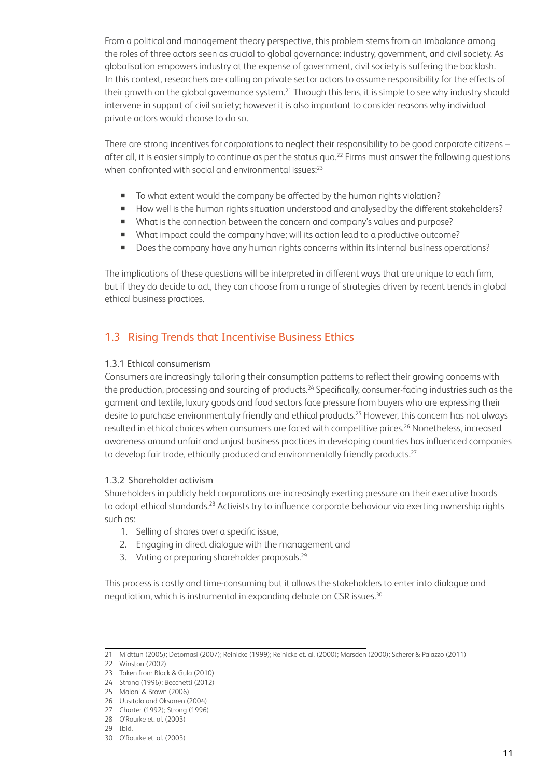From a political and management theory perspective, this problem stems from an imbalance among the roles of three actors seen as crucial to global governance: industry, government, and civil society. As globalisation empowers industry at the expense of government, civil society is suffering the backlash. In this context, researchers are calling on private sector actors to assume responsibility for the effects of their growth on the global governance system.<sup>21</sup> Through this lens, it is simple to see why industry should intervene in support of civil society; however it is also important to consider reasons why individual private actors would choose to do so.

There are strong incentives for corporations to neglect their responsibility to be good corporate citizens – after all, it is easier simply to continue as per the status quo.<sup>22</sup> Firms must answer the following questions when confronted with social and environmental issues:<sup>23</sup>

- To what extent would the company be affected by the human rights violation?
- How well is the human rights situation understood and analysed by the different stakeholders?
- What is the connection between the concern and company's values and purpose?
- What impact could the company have; will its action lead to a productive outcome?
- Does the company have any human rights concerns within its internal business operations?

The implications of these questions will be interpreted in different ways that are unique to each firm, but if they do decide to act, they can choose from a range of strategies driven by recent trends in global ethical business practices.

## 1.3 Rising Trends that Incentivise Business Ethics

#### 1.3.1 Ethical consumerism

Consumers are increasingly tailoring their consumption patterns to reflect their growing concerns with the production, processing and sourcing of products.<sup>24</sup> Specifically, consumer-facing industries such as the garment and textile, luxury goods and food sectors face pressure from buyers who are expressing their desire to purchase environmentally friendly and ethical products.<sup>25</sup> However, this concern has not always resulted in ethical choices when consumers are faced with competitive prices.<sup>26</sup> Nonetheless, increased awareness around unfair and unjust business practices in developing countries has influenced companies to develop fair trade, ethically produced and environmentally friendly products.<sup>27</sup>

#### 1.3.2 Shareholder activism

Shareholders in publicly held corporations are increasingly exerting pressure on their executive boards to adopt ethical standards.<sup>28</sup> Activists try to influence corporate behaviour via exerting ownership rights such as:

- 1. Selling of shares over a specific issue,
- 2. Engaging in direct dialogue with the management and
- 3. Voting or preparing shareholder proposals.<sup>29</sup>

This process is costly and time-consuming but it allows the stakeholders to enter into dialogue and negotiation, which is instrumental in expanding debate on CSR issues.<sup>30</sup>

<sup>21</sup> Midttun (2005); Detomasi (2007); Reinicke (1999); Reinicke et. al. (2000); Marsden (2000); Scherer & Palazzo (2011)

<sup>22</sup> Winston (2002)

<sup>23</sup> Taken from Black & Gula (2010)

<sup>24</sup> Strong (1996); Becchetti (2012)

<sup>25</sup> Maloni & Brown (2006)

<sup>26</sup> Uusitalo and Oksanen (2004)

<sup>27</sup> Charter (1992); Strong (1996)

<sup>28</sup> O'Rourke et. al. (2003)

<sup>29</sup> Ibid.

<sup>30</sup> O'Rourke et. al. (2003)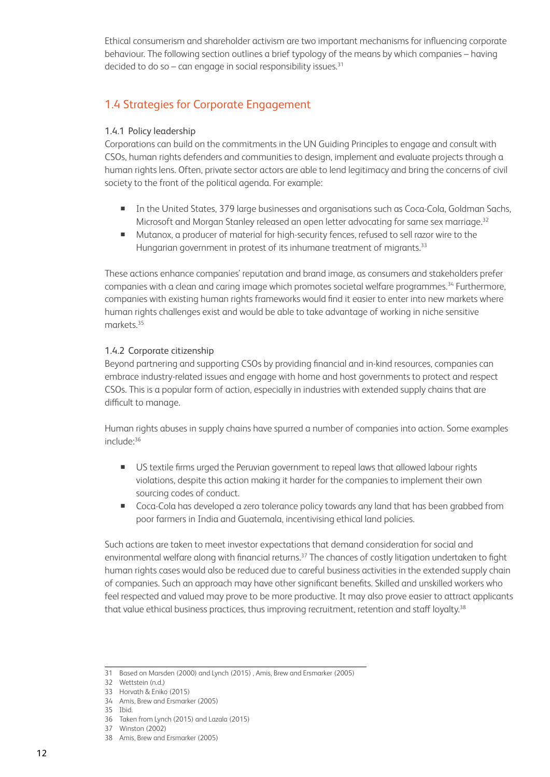Ethical consumerism and shareholder activism are two important mechanisms for influencing corporate behaviour. The following section outlines a brief typology of the means by which companies – having decided to do so – can engage in social responsibility issues. $31$ 

# 1.4 Strategies for Corporate Engagement

#### 1.4.1 Policy leadership

Corporations can build on the commitments in the UN Guiding Principles to engage and consult with CSOs, human rights defenders and communities to design, implement and evaluate projects through a human rights lens. Often, private sector actors are able to lend legitimacy and bring the concerns of civil society to the front of the political agenda. For example:

- In the United States, 379 large businesses and organisations such as Coca-Cola, Goldman Sachs, Microsoft and Morgan Stanley released an open letter advocating for same sex marriage.<sup>32</sup>
- Mutanox, a producer of material for high-security fences, refused to sell razor wire to the Hungarian government in protest of its inhumane treatment of migrants.<sup>33</sup>

These actions enhance companies' reputation and brand image, as consumers and stakeholders prefer companies with a clean and caring image which promotes societal welfare programmes.<sup>34</sup> Furthermore, companies with existing human rights frameworks would find it easier to enter into new markets where human rights challenges exist and would be able to take advantage of working in niche sensitive markets.35

#### 1.4.2 Corporate citizenship

Beyond partnering and supporting CSOs by providing financial and in-kind resources, companies can embrace industry-related issues and engage with home and host governments to protect and respect CSOs. This is a popular form of action, especially in industries with extended supply chains that are difficult to manage.

Human rights abuses in supply chains have spurred a number of companies into action. Some examples include:36

- US textile firms urged the Peruvian government to repeal laws that allowed labour rights violations, despite this action making it harder for the companies to implement their own sourcing codes of conduct.
- Coca-Cola has developed a zero tolerance policy towards any land that has been grabbed from poor farmers in India and Guatemala, incentivising ethical land policies.

Such actions are taken to meet investor expectations that demand consideration for social and environmental welfare along with financial returns.<sup>37</sup> The chances of costly litigation undertaken to fight human rights cases would also be reduced due to careful business activities in the extended supply chain of companies. Such an approach may have other significant benefits. Skilled and unskilled workers who feel respected and valued may prove to be more productive. It may also prove easier to attract applicants that value ethical business practices, thus improving recruitment, retention and staff loyalty.<sup>38</sup>

<sup>31</sup> Based on Marsden (2000) and Lynch (2015) , Amis, Brew and Ersmarker (2005)

<sup>32</sup> Wettstein (n.d.)

<sup>33</sup> Horvath & Eniko (2015)

<sup>34</sup> Amis, Brew and Ersmarker (2005) 35 Ibid.

<sup>36</sup> Taken from Lynch (2015) and Lazala (2015)

<sup>37</sup> Winston (2002)

<sup>38</sup> Amis, Brew and Ersmarker (2005)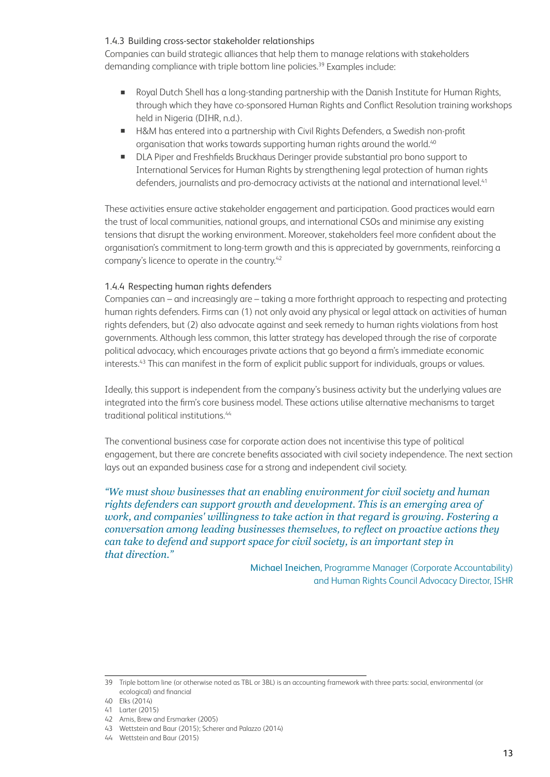#### 1.4.3 Building cross-sector stakeholder relationships

Companies can build strategic alliances that help them to manage relations with stakeholders demanding compliance with triple bottom line policies.<sup>39</sup> Examples include:

- Royal Dutch Shell has a long-standing partnership with the Danish Institute for Human Rights, through which they have co-sponsored Human Rights and Conflict Resolution training workshops held in Nigeria (DIHR, n.d.).
- H&M has entered into a partnership with Civil Rights Defenders, a Swedish non-profit organisation that works towards supporting human rights around the world.<sup>40</sup>
- DLA Piper and Freshfields Bruckhaus Deringer provide substantial pro bono support to International Services for Human Rights by strengthening legal protection of human rights defenders, journalists and pro-democracy activists at the national and international level.<sup>41</sup>

These activities ensure active stakeholder engagement and participation. Good practices would earn the trust of local communities, national groups, and international CSOs and minimise any existing tensions that disrupt the working environment. Moreover, stakeholders feel more confident about the organisation's commitment to long-term growth and this is appreciated by governments, reinforcing a company's licence to operate in the country.42

#### 1.4.4 Respecting human rights defenders

Companies can – and increasingly are – taking a more forthright approach to respecting and protecting human rights defenders. Firms can (1) not only avoid any physical or legal attack on activities of human rights defenders, but (2) also advocate against and seek remedy to human rights violations from host governments. Although less common, this latter strategy has developed through the rise of corporate political advocacy, which encourages private actions that go beyond a firm's immediate economic interests.43 This can manifest in the form of explicit public support for individuals, groups or values.

Ideally, this support is independent from the company's business activity but the underlying values are integrated into the firm's core business model. These actions utilise alternative mechanisms to target traditional political institutions.<sup>44</sup>

The conventional business case for corporate action does not incentivise this type of political engagement, but there are concrete benefits associated with civil society independence. The next section lays out an expanded business case for a strong and independent civil society.

*"We must show businesses that an enabling environment for civil society and human rights defenders can support growth and development. This is an emerging area of work, and companies' willingness to take action in that regard is growing. Fostering a conversation among leading businesses themselves, to reflect on proactive actions they can take to defend and support space for civil society, is an important step in that direction."*

> Michael Ineichen, Programme Manager (Corporate Accountability) and Human Rights Council Advocacy Director, ISHR

<sup>39</sup> Triple bottom line (or otherwise noted as TBL or 3BL) is an accounting framework with three parts: social, environmental (or ecological) and financial

<sup>40</sup> Elks (2014)

<sup>41</sup> Larter (2015)

<sup>42</sup> Amis, Brew and Ersmarker (2005)

<sup>43</sup> Wettstein and Baur (2015); Scherer and Palazzo (2014)

<sup>44</sup> Wettstein and Baur (2015)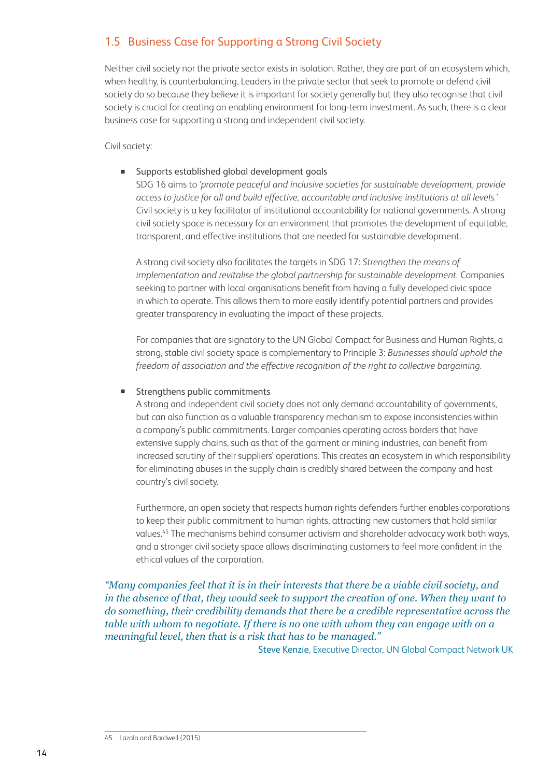## 1.5 Business Case for Supporting a Strong Civil Society

Neither civil society nor the private sector exists in isolation. Rather, they are part of an ecosystem which, when healthy, is counterbalancing. Leaders in the private sector that seek to promote or defend civil society do so because they believe it is important for society generally but they also recognise that civil society is crucial for creating an enabling environment for long-term investment. As such, there is a clear business case for supporting a strong and independent civil society.

Civil society:

#### Supports established global development goals

 SDG 16 aims to *'promote peaceful and inclusive societies for sustainable development, provide access to justice for all and build effective, accountable and inclusive institutions at all levels.'*  Civil society is a key facilitator of institutional accountability for national governments. A strong civil society space is necessary for an environment that promotes the development of equitable, transparent, and effective institutions that are needed for sustainable development.

A strong civil society also facilitates the targets in SDG 17: *Strengthen the means of implementation and revitalise the global partnership for sustainable development.* Companies seeking to partner with local organisations benefit from having a fully developed civic space in which to operate. This allows them to more easily identify potential partners and provides greater transparency in evaluating the impact of these projects.

For companies that are signatory to the UN Global Compact for Business and Human Rights, a strong, stable civil society space is complementary to Principle 3: *Businesses should uphold the freedom of association and the effective recognition of the right to collective bargaining.*

#### Strengthens public commitments

 A strong and independent civil society does not only demand accountability of governments, but can also function as a valuable transparency mechanism to expose inconsistencies within a company's public commitments. Larger companies operating across borders that have extensive supply chains, such as that of the garment or mining industries, can benefit from increased scrutiny of their suppliers' operations. This creates an ecosystem in which responsibility for eliminating abuses in the supply chain is credibly shared between the company and host country's civil society.

Furthermore, an open society that respects human rights defenders further enables corporations to keep their public commitment to human rights, attracting new customers that hold similar values.45 The mechanisms behind consumer activism and shareholder advocacy work both ways, and a stronger civil society space allows discriminating customers to feel more confident in the ethical values of the corporation.

#### *"Many companies feel that it is in their interests that there be a viable civil society, and in the absence of that, they would seek to support the creation of one. When they want to do something, their credibility demands that there be a credible representative across the table with whom to negotiate. If there is no one with whom they can engage with on a meaningful level, then that is a risk that has to be managed."*

Steve Kenzie, Executive Director, UN Global Compact Network UK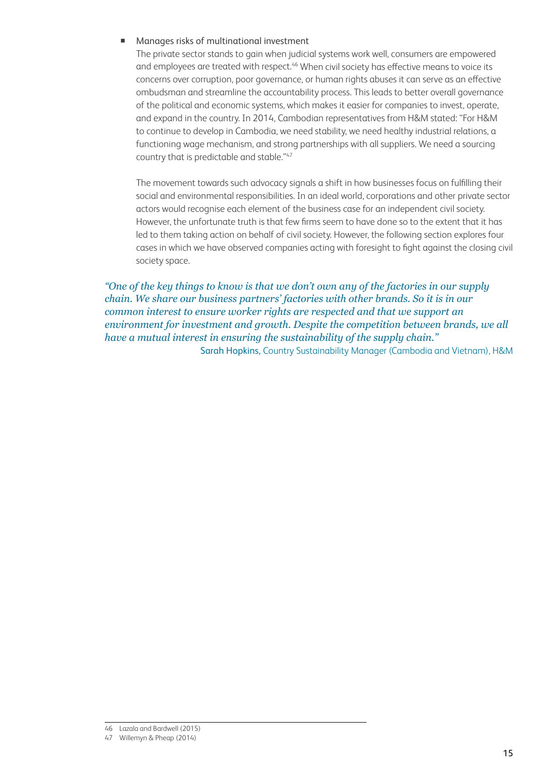#### Manages risks of multinational investment

 The private sector stands to gain when judicial systems work well, consumers are empowered and employees are treated with respect.<sup>46</sup> When civil society has effective means to voice its concerns over corruption, poor governance, or human rights abuses it can serve as an effective ombudsman and streamline the accountability process. This leads to better overall governance of the political and economic systems, which makes it easier for companies to invest, operate, and expand in the country. In 2014, Cambodian representatives from H&M stated: "For H&M to continue to develop in Cambodia, we need stability, we need healthy industrial relations, a functioning wage mechanism, and strong partnerships with all suppliers. We need a sourcing country that is predictable and stable."47

The movement towards such advocacy signals a shift in how businesses focus on fulfilling their social and environmental responsibilities. In an ideal world, corporations and other private sector actors would recognise each element of the business case for an independent civil society. However, the unfortunate truth is that few firms seem to have done so to the extent that it has led to them taking action on behalf of civil society. However, the following section explores four cases in which we have observed companies acting with foresight to fight against the closing civil society space.

*"One of the key things to know is that we don't own any of the factories in our supply chain. We share our business partners' factories with other brands. So it is in our common interest to ensure worker rights are respected and that we support an environment for investment and growth. Despite the competition between brands, we all have a mutual interest in ensuring the sustainability of the supply chain."* Sarah Hopkins, Country Sustainability Manager (Cambodia and Vietnam), H&M

<sup>46</sup> Lazala and Bardwell (2015)

<sup>47</sup> Willemyn & Pheap (2014)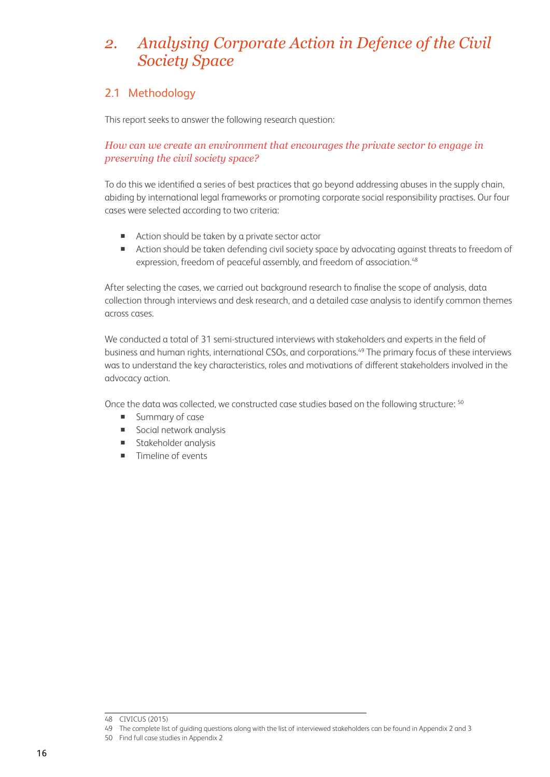# *2. Analysing Corporate Action in Defence of the Civil Society Space*

## 2.1 Methodology

This report seeks to answer the following research question:

#### *How can we create an environment that encourages the private sector to engage in preserving the civil society space?*

To do this we identified a series of best practices that go beyond addressing abuses in the supply chain, abiding by international legal frameworks or promoting corporate social responsibility practises. Our four cases were selected according to two criteria:

- Action should be taken by a private sector actor
- Action should be taken defending civil society space by advocating against threats to freedom of expression, freedom of peaceful assembly, and freedom of association.<sup>48</sup>

After selecting the cases, we carried out background research to finalise the scope of analysis, data collection through interviews and desk research, and a detailed case analysis to identify common themes across cases.

We conducted a total of 31 semi-structured interviews with stakeholders and experts in the field of business and human rights, international CSOs, and corporations.<sup>49</sup> The primary focus of these interviews was to understand the key characteristics, roles and motivations of different stakeholders involved in the advocacy action.

Once the data was collected, we constructed case studies based on the following structure: <sup>50</sup>

- **Summary of case**
- Social network analysis
- **Stakeholder analysis**
- **Timeline of events**

<sup>48</sup> CIVICUS (2015)

<sup>49</sup> The complete list of guiding questions along with the list of interviewed stakeholders can be found in Appendix 2 and 3

<sup>50</sup> Find full case studies in Appendix 2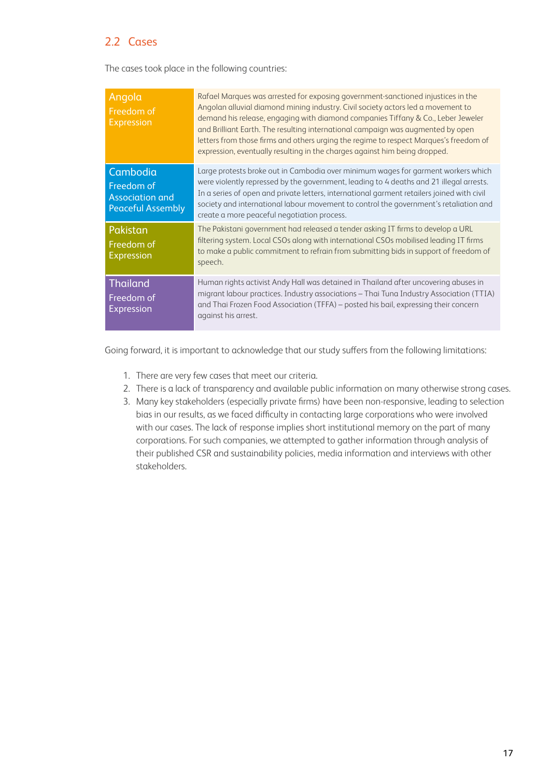## 2.2 Cases

The cases took place in the following countries:

| Angola<br>Freedom of<br><b>Expression</b>                                    | Rafael Marques was arrested for exposing government-sanctioned injustices in the<br>Angolan alluvial diamond mining industry. Civil society actors led a movement to<br>demand his release, engaging with diamond companies Tiffany & Co., Leber Jeweler<br>and Brilliant Earth. The resulting international campaign was augmented by open<br>letters from those firms and others urging the regime to respect Marques's freedom of<br>expression, eventually resulting in the charges against him being dropped. |
|------------------------------------------------------------------------------|--------------------------------------------------------------------------------------------------------------------------------------------------------------------------------------------------------------------------------------------------------------------------------------------------------------------------------------------------------------------------------------------------------------------------------------------------------------------------------------------------------------------|
| Cambodia<br>Freedom of<br><b>Association and</b><br><b>Peaceful Assembly</b> | Large protests broke out in Cambodia over minimum wages for garment workers which<br>were violently repressed by the government, leading to 4 deaths and 21 illegal arrests.<br>In a series of open and private letters, international garment retailers joined with civil<br>society and international labour movement to control the government's retaliation and<br>create a more peaceful negotiation process.                                                                                                 |
| Pakistan<br>Freedom of<br><b>Expression</b>                                  | The Pakistani government had released a tender asking IT firms to develop a URL<br>filtering system. Local CSOs along with international CSOs mobilised leading IT firms<br>to make a public commitment to refrain from submitting bids in support of freedom of<br>speech.                                                                                                                                                                                                                                        |
| <b>Thailand</b><br>Freedom of<br>Expression                                  | Human rights activist Andy Hall was detained in Thailand after uncovering abuses in<br>migrant labour practices. Industry associations - Thai Tuna Industry Association (TTIA)<br>and Thai Frozen Food Association (TFFA) – posted his bail, expressing their concern<br>against his arrest.                                                                                                                                                                                                                       |

Going forward, it is important to acknowledge that our study suffers from the following limitations:

- 1. There are very few cases that meet our criteria.
- 2. There is a lack of transparency and available public information on many otherwise strong cases.
- 3. Many key stakeholders (especially private firms) have been non-responsive, leading to selection bias in our results, as we faced difficulty in contacting large corporations who were involved with our cases. The lack of response implies short institutional memory on the part of many corporations. For such companies, we attempted to gather information through analysis of their published CSR and sustainability policies, media information and interviews with other stakeholders.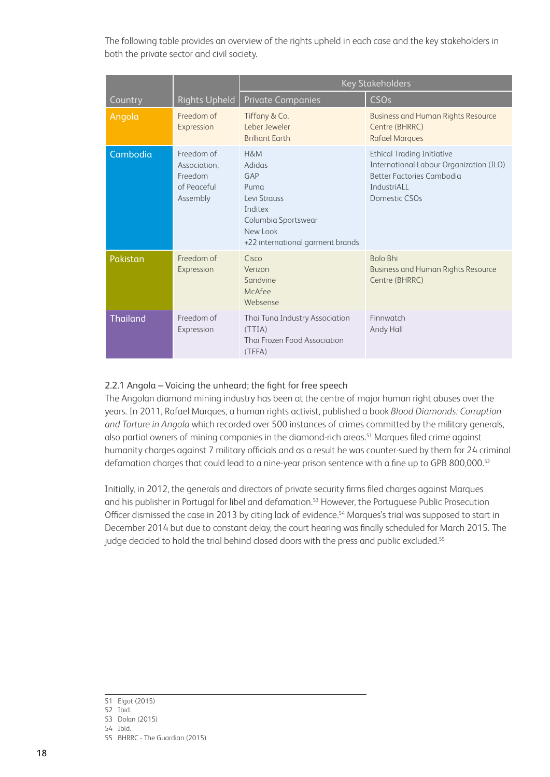The following table provides an overview of the rights upheld in each case and the key stakeholders in both the private sector and civil society.

|                 |                                                                  | <b>Key Stakeholders</b>                                                                                                       |                                                                                                                                           |  |
|-----------------|------------------------------------------------------------------|-------------------------------------------------------------------------------------------------------------------------------|-------------------------------------------------------------------------------------------------------------------------------------------|--|
| Country         | <b>Rights Upheld</b>                                             | <b>Private Companies</b>                                                                                                      | <b>CSOs</b>                                                                                                                               |  |
| Angola          | Freedom of<br>Expression                                         | Tiffany & Co.<br>Leber Jeweler<br><b>Brilliant Earth</b>                                                                      | <b>Business and Human Rights Resource</b><br>Centre (BHRRC)<br><b>Rafael Marques</b>                                                      |  |
| Cambodia        | Freedom of<br>Association,<br>Freedom<br>of Peaceful<br>Assembly | H&M<br>Adidas<br>GAP<br>Puma<br>Levi Strauss<br>Inditex<br>Columbia Sportswear<br>NewLook<br>+22 international garment brands | <b>Ethical Trading Initiative</b><br>International Labour Organization (ILO)<br>Better Factories Cambodia<br>IndustriALL<br>Domestic CSOs |  |
| Pakistan        | Freedom of<br>Expression                                         | Cisco<br>Verizon<br>Sandvine<br>McAfee<br>Websense                                                                            | <b>Bolo Bhi</b><br><b>Business and Human Rights Resource</b><br>Centre (BHRRC)                                                            |  |
| <b>Thailand</b> | Freedom of<br>Expression                                         | Thai Tuna Industry Association<br>(TTIA)<br>Thai Frozen Food Association<br>(TFFA)                                            | Finnwatch<br>Andy Hall                                                                                                                    |  |

#### 2.2.1 Angola – Voicing the unheard; the fight for free speech

The Angolan diamond mining industry has been at the centre of major human right abuses over the years. In 2011, Rafael Marques, a human rights activist, published a book *Blood Diamonds: Corruption and Torture in Angola* which recorded over 500 instances of crimes committed by the military generals, also partial owners of mining companies in the diamond-rich areas.<sup>51</sup> Marques filed crime against humanity charges against 7 military officials and as a result he was counter-sued by them for 24 criminal defamation charges that could lead to a nine-year prison sentence with a fine up to GPB 800,000.<sup>52</sup>

Initially, in 2012, the generals and directors of private security firms filed charges against Marques and his publisher in Portugal for libel and defamation.<sup>53</sup> However, the Portuguese Public Prosecution Officer dismissed the case in 2013 by citing lack of evidence.<sup>54</sup> Marques's trial was supposed to start in December 2014 but due to constant delay, the court hearing was finally scheduled for March 2015. The judge decided to hold the trial behind closed doors with the press and public excluded.<sup>55</sup>

54 Ibid.

<sup>51</sup> Elgot (2015)

<sup>52</sup> Ibid. 53 Dolan (2015)

<sup>55</sup> BHRRC - The Guardian (2015)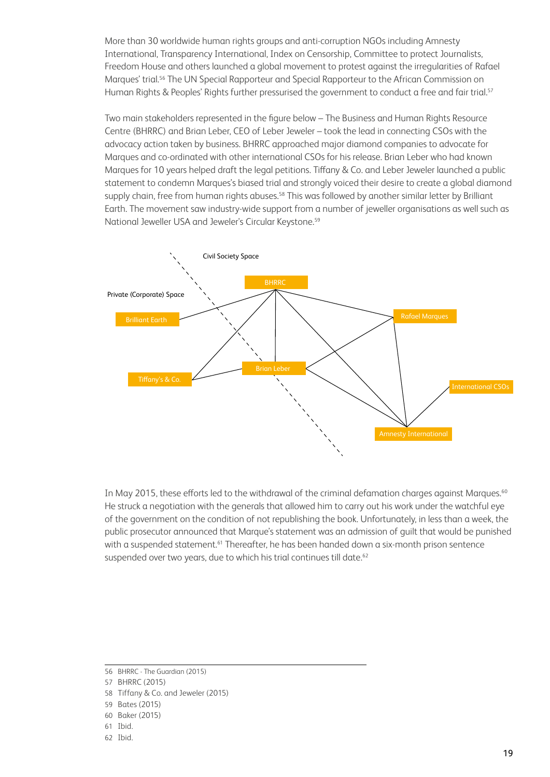More than 30 worldwide human rights groups and anti-corruption NGOs including Amnesty International, Transparency International, Index on Censorship, Committee to protect Journalists, Freedom House and others launched a global movement to protest against the irregularities of Rafael Marques' trial.56 The UN Special Rapporteur and Special Rapporteur to the African Commission on Human Rights & Peoples' Rights further pressurised the government to conduct a free and fair trial.<sup>57</sup>

Two main stakeholders represented in the figure below – The Business and Human Rights Resource Centre (BHRRC) and Brian Leber, CEO of Leber Jeweler – took the lead in connecting CSOs with the advocacy action taken by business. BHRRC approached major diamond companies to advocate for Marques and co-ordinated with other international CSOs for his release. Brian Leber who had known Marques for 10 years helped draft the legal petitions. Tiffany & Co. and Leber Jeweler launched a public statement to condemn Marques's biased trial and strongly voiced their desire to create a global diamond supply chain, free from human rights abuses.<sup>58</sup> This was followed by another similar letter by Brilliant Earth. The movement saw industry-wide support from a number of jeweller organisations as well such as National Jeweller USA and Jeweler's Circular Keystone.<sup>59</sup>



In May 2015, these efforts led to the withdrawal of the criminal defamation charges against Marques.<sup>60</sup> He struck a negotiation with the generals that allowed him to carry out his work under the watchful eye of the government on the condition of not republishing the book. Unfortunately, in less than a week, the public prosecutor announced that Marque's statement was an admission of guilt that would be punished with a suspended statement.<sup>61</sup> Thereafter, he has been handed down a six-month prison sentence suspended over two years, due to which his trial continues till date.<sup>62</sup>

62 Ibid.

<sup>56</sup> BHRRC - The Guardian (2015)

<sup>57</sup> BHRRC (2015)

<sup>58</sup> Tiffany & Co. and Jeweler (2015)

<sup>59</sup> Bates (2015)

<sup>60</sup> Baker (2015)

<sup>61</sup> Ibid.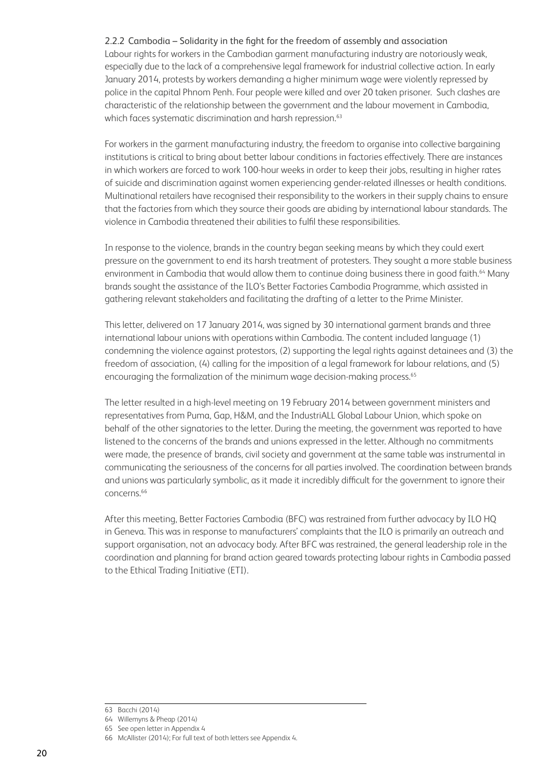#### 2.2.2 Cambodia – Solidarity in the fight for the freedom of assembly and association

Labour rights for workers in the Cambodian garment manufacturing industry are notoriously weak, especially due to the lack of a comprehensive legal framework for industrial collective action. In early January 2014, protests by workers demanding a higher minimum wage were violently repressed by police in the capital Phnom Penh. Four people were killed and over 20 taken prisoner. Such clashes are characteristic of the relationship between the government and the labour movement in Cambodia, which faces systematic discrimination and harsh repression.<sup>63</sup>

For workers in the garment manufacturing industry, the freedom to organise into collective bargaining institutions is critical to bring about better labour conditions in factories effectively. There are instances in which workers are forced to work 100-hour weeks in order to keep their jobs, resulting in higher rates of suicide and discrimination against women experiencing gender-related illnesses or health conditions. Multinational retailers have recognised their responsibility to the workers in their supply chains to ensure that the factories from which they source their goods are abiding by international labour standards. The violence in Cambodia threatened their abilities to fulfil these responsibilities.

In response to the violence, brands in the country began seeking means by which they could exert pressure on the government to end its harsh treatment of protesters. They sought a more stable business environment in Cambodia that would allow them to continue doing business there in good faith.<sup>64</sup> Many brands sought the assistance of the ILO's Better Factories Cambodia Programme, which assisted in gathering relevant stakeholders and facilitating the drafting of a letter to the Prime Minister.

This letter, delivered on 17 January 2014, was signed by 30 international garment brands and three international labour unions with operations within Cambodia. The content included language (1) condemning the violence against protestors, (2) supporting the legal rights against detainees and (3) the freedom of association, (4) calling for the imposition of a legal framework for labour relations, and (5) encouraging the formalization of the minimum wage decision-making process.<sup>65</sup>

The letter resulted in a high-level meeting on 19 February 2014 between government ministers and representatives from Puma, Gap, H&M, and the IndustriALL Global Labour Union, which spoke on behalf of the other signatories to the letter. During the meeting, the government was reported to have listened to the concerns of the brands and unions expressed in the letter. Although no commitments were made, the presence of brands, civil society and government at the same table was instrumental in communicating the seriousness of the concerns for all parties involved. The coordination between brands and unions was particularly symbolic, as it made it incredibly difficult for the government to ignore their concerns.<sup>66</sup>

After this meeting, Better Factories Cambodia (BFC) was restrained from further advocacy by ILO HQ in Geneva. This was in response to manufacturers' complaints that the ILO is primarily an outreach and support organisation, not an advocacy body. After BFC was restrained, the general leadership role in the coordination and planning for brand action geared towards protecting labour rights in Cambodia passed to the Ethical Trading Initiative (ETI).

<sup>63</sup> Bacchi (2014)

<sup>64</sup> Willemyns & Pheap (2014)

<sup>65</sup> See open letter in Appendix 4

<sup>66</sup> McAllister (2014); For full text of both letters see Appendix 4.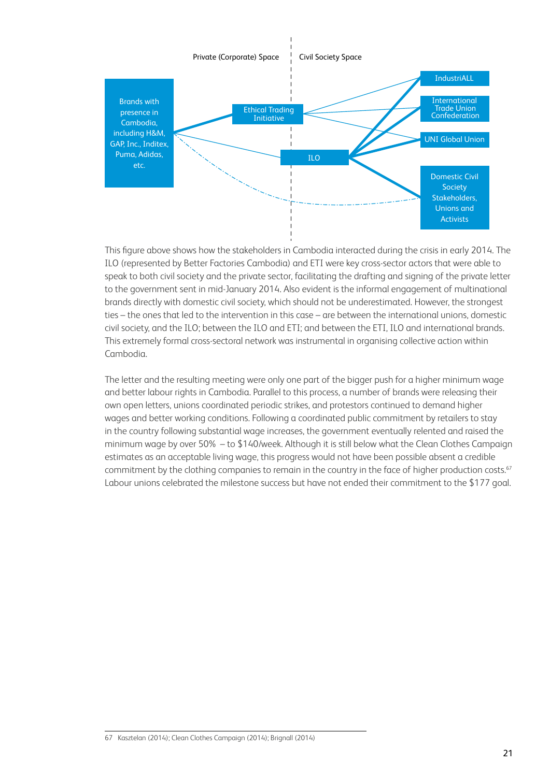

This figure above shows how the stakeholders in Cambodia interacted during the crisis in early 2014. The ILO (represented by Better Factories Cambodia) and ETI were key cross-sector actors that were able to speak to both civil society and the private sector, facilitating the drafting and signing of the private letter to the government sent in mid-January 2014. Also evident is the informal engagement of multinational brands directly with domestic civil society, which should not be underestimated. However, the strongest ties – the ones that led to the intervention in this case – are between the international unions, domestic civil society, and the ILO; between the ILO and ETI; and between the ETI, ILO and international brands. This extremely formal cross-sectoral network was instrumental in organising collective action within Cambodia.

The letter and the resulting meeting were only one part of the bigger push for a higher minimum wage and better labour rights in Cambodia. Parallel to this process, a number of brands were releasing their own open letters, unions coordinated periodic strikes, and protestors continued to demand higher wages and better working conditions. Following a coordinated public commitment by retailers to stay in the country following substantial wage increases, the government eventually relented and raised the minimum wage by over 50% – to \$140/week. Although it is still below what the Clean Clothes Campaign estimates as an acceptable living wage, this progress would not have been possible absent a credible commitment by the clothing companies to remain in the country in the face of higher production costs.<sup>67</sup> Labour unions celebrated the milestone success but have not ended their commitment to the \$177 goal.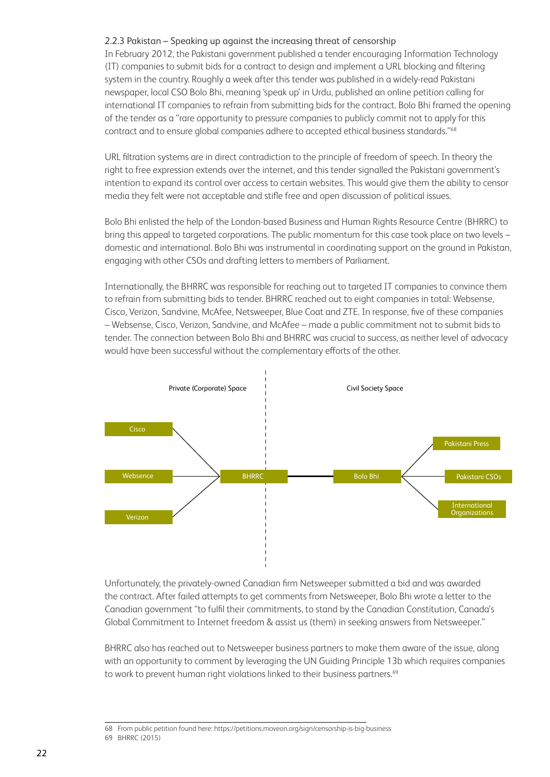#### 2.2.3 Pakistan – Speaking up against the increasing threat of censorship

In February 2012, the Pakistani government published a tender encouraging Information Technology (IT) companies to submit bids for a contract to design and implement a URL blocking and filtering system in the country. Roughly a week after this tender was published in a widely-read Pakistani newspaper, local CSO Bolo Bhi, meaning 'speak up' in Urdu, published an online petition calling for international IT companies to refrain from submitting bids for the contract. Bolo Bhi framed the opening of the tender as a "rare opportunity to pressure companies to publicly commit not to apply for this contract and to ensure global companies adhere to accepted ethical business standards."<sup>68</sup>

URL filtration systems are in direct contradiction to the principle of freedom of speech. In theory the right to free expression extends over the internet, and this tender signalled the Pakistani government's intention to expand its control over access to certain websites. This would give them the ability to censor media they felt were not acceptable and stifle free and open discussion of political issues.

Bolo Bhi enlisted the help of the London-based Business and Human Rights Resource Centre (BHRRC) to bring this appeal to targeted corporations. The public momentum for this case took place on two levels – domestic and international. Bolo Bhi was instrumental in coordinating support on the ground in Pakistan, engaging with other CSOs and drafting letters to members of Parliament.

Internationally, the BHRRC was responsible for reaching out to targeted IT companies to convince them to refrain from submitting bids to tender. BHRRC reached out to eight companies in total: Websense, Cisco, Verizon, Sandvine, McAfee, Netsweeper, Blue Coat and ZTE. In response, five of these companies – Websense, Cisco, Verizon, Sandvine, and McAfee – made a public commitment not to submit bids to tender. The connection between Bolo Bhi and BHRRC was crucial to success, as neither level of advocacy would have been successful without the complementary efforts of the other.



Unfortunately, the privately-owned Canadian firm Netsweeper submitted a bid and was awarded the contract. After failed attempts to get comments from Netsweeper, Bolo Bhi wrote a letter to the Canadian government "to fulfil their commitments, to stand by the Canadian Constitution, Canada's Global Commitment to Internet freedom & assist us (them) in seeking answers from Netsweeper."

BHRRC also has reached out to Netsweeper business partners to make them aware of the issue, along with an opportunity to comment by leveraging the UN Guiding Principle 13b which requires companies to work to prevent human right violations linked to their business partners.<sup>69</sup>

<sup>68</sup> From public petition found here: https://petitions.moveon.org/sign/censorship-is-big-business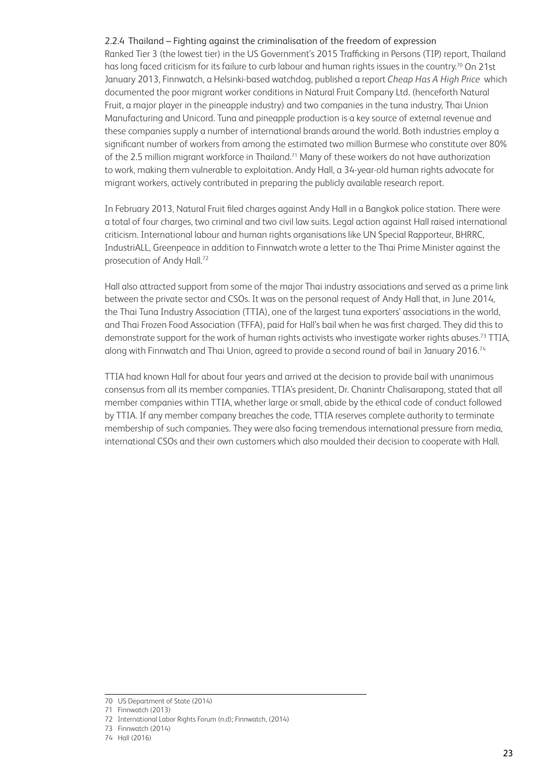#### 2.2.4 Thailand – Fighting against the criminalisation of the freedom of expression

Ranked Tier 3 (the lowest tier) in the US Government's 2015 Trafficking in Persons (TIP) report, Thailand has long faced criticism for its failure to curb labour and human rights issues in the country.<sup>70</sup> On 21st January 2013, Finnwatch, a Helsinki-based watchdog, published a report *Cheap Has A High Price* which documented the poor migrant worker conditions in Natural Fruit Company Ltd. (henceforth Natural Fruit, a major player in the pineapple industry) and two companies in the tuna industry, Thai Union Manufacturing and Unicord. Tuna and pineapple production is a key source of external revenue and these companies supply a number of international brands around the world. Both industries employ a significant number of workers from among the estimated two million Burmese who constitute over 80% of the 2.5 million migrant workforce in Thailand.<sup>71</sup> Many of these workers do not have authorization to work, making them vulnerable to exploitation. Andy Hall, a 34-year-old human rights advocate for migrant workers, actively contributed in preparing the publicly available research report.

In February 2013, Natural Fruit filed charges against Andy Hall in a Bangkok police station. There were a total of four charges, two criminal and two civil law suits. Legal action against Hall raised international criticism. International labour and human rights organisations like UN Special Rapporteur, BHRRC, IndustriALL, Greenpeace in addition to Finnwatch wrote a letter to the Thai Prime Minister against the prosecution of Andy Hall.72

Hall also attracted support from some of the major Thai industry associations and served as a prime link between the private sector and CSOs. It was on the personal request of Andy Hall that, in June 2014, the Thai Tuna Industry Association (TTIA), one of the largest tuna exporters' associations in the world, and Thai Frozen Food Association (TFFA), paid for Hall's bail when he was first charged. They did this to demonstrate support for the work of human rights activists who investigate worker rights abuses.<sup>73</sup> TTIA, along with Finnwatch and Thai Union, agreed to provide a second round of bail in January 2016.<sup>74</sup>

TTIA had known Hall for about four years and arrived at the decision to provide bail with unanimous consensus from all its member companies. TTIA's president, Dr. Chanintr Chalisarapong, stated that all member companies within TTIA, whether large or small, abide by the ethical code of conduct followed by TTIA. If any member company breaches the code, TTIA reserves complete authority to terminate membership of such companies. They were also facing tremendous international pressure from media, international CSOs and their own customers which also moulded their decision to cooperate with Hall.

<sup>70</sup> US Department of State (2014)

<sup>71</sup> Finnwatch (2013)

<sup>72</sup> International Labor Rights Forum (n.d); Finnwatch, (2014)

<sup>73</sup> Finnwatch (2014)

<sup>74</sup> Hall (2016)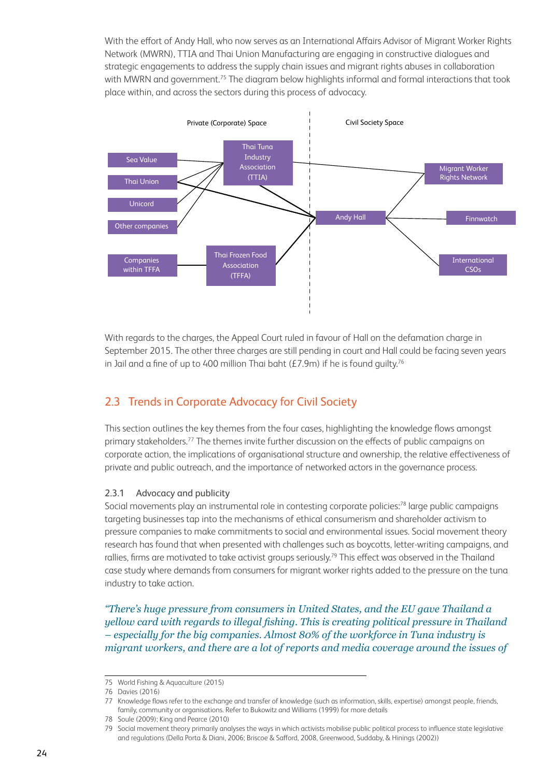With the effort of Andy Hall, who now serves as an International Affairs Advisor of Migrant Worker Rights Network (MWRN), TTIA and Thai Union Manufacturing are engaging in constructive dialogues and strategic engagements to address the supply chain issues and migrant rights abuses in collaboration with MWRN and government.<sup>75</sup> The diagram below highlights informal and formal interactions that took place within, and across the sectors during this process of advocacy.



With regards to the charges, the Appeal Court ruled in favour of Hall on the defamation charge in September 2015. The other three charges are still pending in court and Hall could be facing seven years in Jail and a fine of up to 400 million Thai baht ( $E7.9$ m) if he is found guilty.<sup>76</sup>

# 2.3 Trends in Corporate Advocacy for Civil Society

This section outlines the key themes from the four cases, highlighting the knowledge flows amongst primary stakeholders.77 The themes invite further discussion on the effects of public campaigns on corporate action, the implications of organisational structure and ownership, the relative effectiveness of private and public outreach, and the importance of networked actors in the governance process.

#### 2.3.1 Advocacy and publicity

Social movements play an instrumental role in contesting corporate policies:<sup>78</sup> large public campaigns targeting businesses tap into the mechanisms of ethical consumerism and shareholder activism to pressure companies to make commitments to social and environmental issues. Social movement theory research has found that when presented with challenges such as boycotts, letter-writing campaigns, and rallies, firms are motivated to take activist groups seriously.<sup>79</sup> This effect was observed in the Thailand case study where demands from consumers for migrant worker rights added to the pressure on the tuna industry to take action.

*"There's huge pressure from consumers in United States, and the EU gave Thailand a yellow card with regards to illegal fishing. This is creating political pressure in Thailand – especially for the big companies. Almost 80% of the workforce in Tuna industry is migrant workers, and there are a lot of reports and media coverage around the issues of* 

<sup>75</sup> World Fishing & Aquaculture (2015)

<sup>76</sup> Davies (2016)

<sup>77</sup> Knowledge flows refer to the exchange and transfer of knowledge (such as information, skills, expertise) amongst people, friends, family, community or organisations. Refer to Bukowitz and Williams (1999) for more details

<sup>78</sup> Soule (2009); King and Pearce (2010)

<sup>79</sup> Social movement theory primarily analyses the ways in which activists mobilise public political process to influence state legislative and regulations (Della Porta & Diani, 2006; Briscoe & Safford, 2008, Greenwood, Suddaby, & Hinings (2002))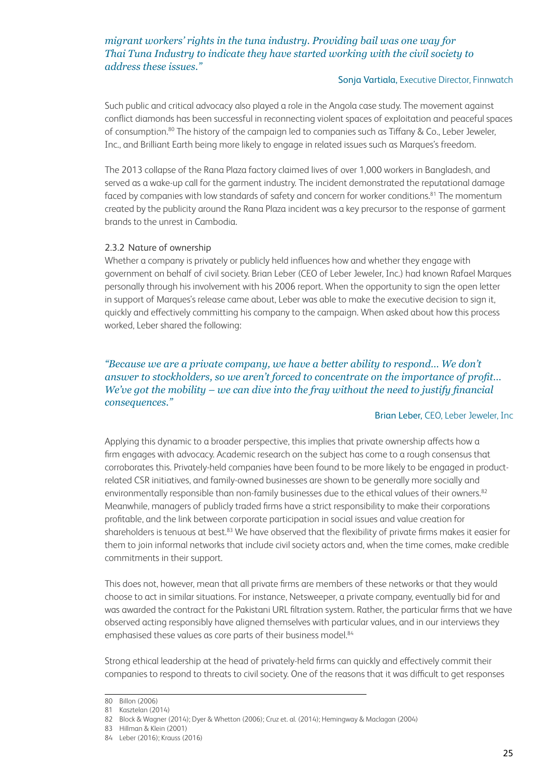#### *migrant workers' rights in the tuna industry. Providing bail was one way for Thai Tuna Industry to indicate they have started working with the civil society to address these issues."*

#### Sonja Vartiala, Executive Director, Finnwatch

Such public and critical advocacy also played a role in the Angola case study. The movement against conflict diamonds has been successful in reconnecting violent spaces of exploitation and peaceful spaces of consumption.<sup>80</sup> The history of the campaign led to companies such as Tiffany & Co., Leber Jeweler, Inc., and Brilliant Earth being more likely to engage in related issues such as Marques's freedom.

The 2013 collapse of the Rana Plaza factory claimed lives of over 1,000 workers in Bangladesh, and served as a wake-up call for the garment industry. The incident demonstrated the reputational damage faced by companies with low standards of safety and concern for worker conditions.<sup>81</sup> The momentum created by the publicity around the Rana Plaza incident was a key precursor to the response of garment brands to the unrest in Cambodia.

#### 2.3.2 Nature of ownership

Whether a company is privately or publicly held influences how and whether they engage with government on behalf of civil society. Brian Leber (CEO of Leber Jeweler, Inc.) had known Rafael Marques personally through his involvement with his 2006 report. When the opportunity to sign the open letter in support of Marques's release came about, Leber was able to make the executive decision to sign it, quickly and effectively committing his company to the campaign. When asked about how this process worked, Leber shared the following:

#### *"Because we are a private company, we have a better ability to respond… We don't answer to stockholders, so we aren't forced to concentrate on the importance of profit… We've got the mobility – we can dive into the fray without the need to justify financial consequences."*

#### Brian Leber, CEO, Leber Jeweler, Inc

Applying this dynamic to a broader perspective, this implies that private ownership affects how a firm engages with advocacy. Academic research on the subject has come to a rough consensus that corroborates this. Privately-held companies have been found to be more likely to be engaged in productrelated CSR initiatives, and family-owned businesses are shown to be generally more socially and environmentally responsible than non-family businesses due to the ethical values of their owners.<sup>82</sup> Meanwhile, managers of publicly traded firms have a strict responsibility to make their corporations profitable, and the link between corporate participation in social issues and value creation for shareholders is tenuous at best.<sup>83</sup> We have observed that the flexibility of private firms makes it easier for them to join informal networks that include civil society actors and, when the time comes, make credible commitments in their support.

This does not, however, mean that all private firms are members of these networks or that they would choose to act in similar situations. For instance, Netsweeper, a private company, eventually bid for and was awarded the contract for the Pakistani URL filtration system. Rather, the particular firms that we have observed acting responsibly have aligned themselves with particular values, and in our interviews they emphasised these values as core parts of their business model.<sup>84</sup>

Strong ethical leadership at the head of privately-held firms can quickly and effectively commit their companies to respond to threats to civil society. One of the reasons that it was difficult to get responses

<sup>80</sup> Billon (2006)

<sup>81</sup> Kasztelan (2014)

<sup>82</sup> Block & Wagner (2014); Dyer & Whetton (2006); Cruz et. al. (2014); Hemingway & Maclagan (2004)

<sup>83</sup> Hillman & Klein (2001)

<sup>84</sup> Leber (2016); Krauss (2016)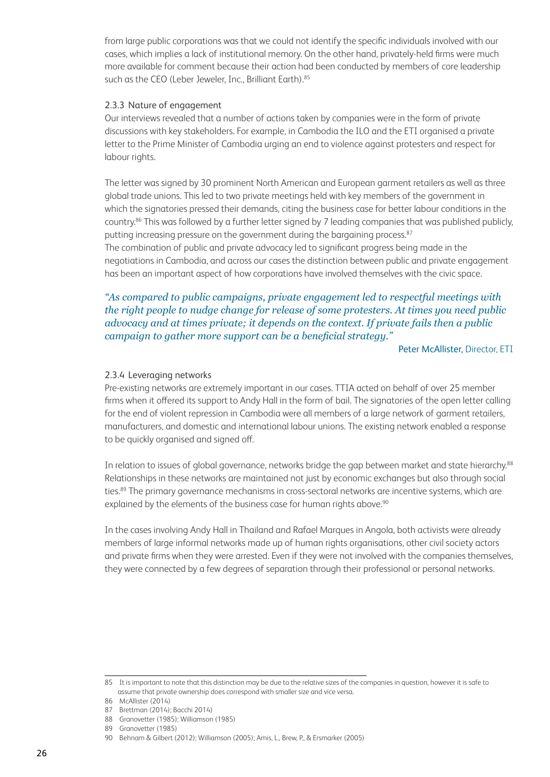from large public corporations was that we could not identify the specific individuals involved with our cases, which implies a lack of institutional memory. On the other hand, privately-held firms were much more available for comment because their action had been conducted by members of core leadership such as the CEO (Leber Jeweler, Inc., Brilliant Earth).<sup>85</sup>

#### 2.3.3 Nature of engagement

Our interviews revealed that a number of actions taken by companies were in the form of private discussions with key stakeholders. For example, in Cambodia the ILO and the ETI organised a private letter to the Prime Minister of Cambodia urging an end to violence against protesters and respect for labour rights.

The letter was signed by 30 prominent North American and European garment retailers as well as three global trade unions. This led to two private meetings held with key members of the government in which the signatories pressed their demands, citing the business case for better labour conditions in the country.86 This was followed by a further letter signed by 7 leading companies that was published publicly, putting increasing pressure on the government during the bargaining process.<sup>87</sup>

The combination of public and private advocacy led to significant progress being made in the negotiations in Cambodia, and across our cases the distinction between public and private engagement has been an important aspect of how corporations have involved themselves with the civic space.

#### *"As compared to public campaigns, private engagement led to respectful meetings with the right people to nudge change for release of some protesters. At times you need public advocacy and at times private; it depends on the context. If private fails then a public campaign to gather more support can be a beneficial strategy."*

Peter McAllister, Director, ETI

#### 2.3.4 Leveraging networks

Pre-existing networks are extremely important in our cases. TTIA acted on behalf of over 25 member firms when it offered its support to Andy Hall in the form of bail. The signatories of the open letter calling for the end of violent repression in Cambodia were all members of a large network of garment retailers, manufacturers, and domestic and international labour unions. The existing network enabled a response to be quickly organised and signed off.

In relation to issues of global governance, networks bridge the gap between market and state hierarchy.<sup>88</sup> Relationships in these networks are maintained not just by economic exchanges but also through social ties.<sup>89</sup> The primary governance mechanisms in cross-sectoral networks are incentive systems, which are explained by the elements of the business case for human rights above.<sup>90</sup>

In the cases involving Andy Hall in Thailand and Rafael Marques in Angola, both activists were already members of large informal networks made up of human rights organisations, other civil society actors and private firms when they were arrested. Even if they were not involved with the companies themselves, they were connected by a few degrees of separation through their professional or personal networks.

<sup>85</sup> It is important to note that this distinction may be due to the relative sizes of the companies in question, however it is safe to assume that private ownership does correspond with smaller size and vice versa.

<sup>86</sup> McAllister (2014)

<sup>87</sup> Brettman (2014); Bacchi 2014)

<sup>88</sup> Granovetter (1985); Williamson (1985)

<sup>89</sup> Granovetter (1985)

<sup>90</sup> Behnam & Gilbert (2012); Williamson (2005); Amis, L., Brew, P., & Ersmarker (2005)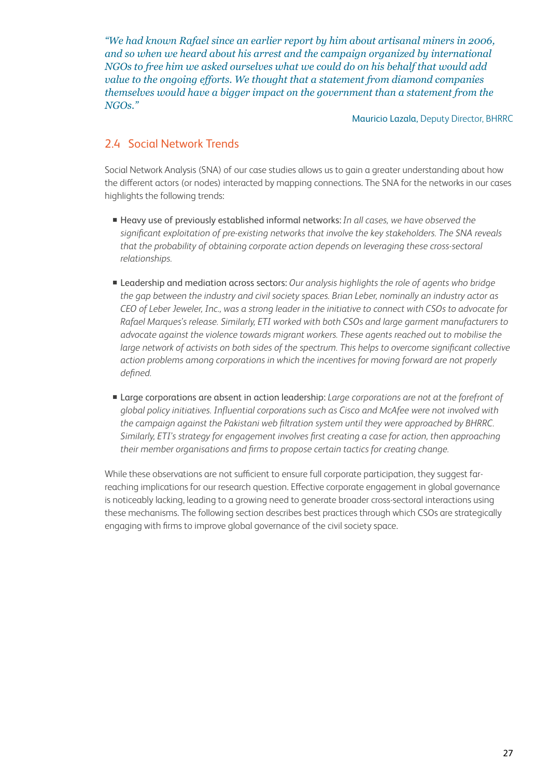*"We had known Rafael since an earlier report by him about artisanal miners in 2006, and so when we heard about his arrest and the campaign organized by international NGOs to free him we asked ourselves what we could do on his behalf that would add value to the ongoing efforts. We thought that a statement from diamond companies themselves would have a bigger impact on the government than a statement from the NGOs."*

Mauricio Lazala, Deputy Director, BHRRC

## 2.4 Social Network Trends

Social Network Analysis (SNA) of our case studies allows us to gain a greater understanding about how the different actors (or nodes) interacted by mapping connections. The SNA for the networks in our cases highlights the following trends:

- Heavy use of previously established informal networks: *In all cases, we have observed the significant exploitation of pre-existing networks that involve the key stakeholders. The SNA reveals that the probability of obtaining corporate action depends on leveraging these cross-sectoral relationships.*
- Leadership and mediation across sectors: *Our analysis highlights the role of agents who bridge the gap between the industry and civil society spaces. Brian Leber, nominally an industry actor as CEO of Leber Jeweler, Inc., was a strong leader in the initiative to connect with CSOs to advocate for Rafael Marques's release. Similarly, ETI worked with both CSOs and large garment manufacturers to advocate against the violence towards migrant workers. These agents reached out to mobilise the large network of activists on both sides of the spectrum. This helps to overcome significant collective action problems among corporations in which the incentives for moving forward are not properly defined.*
- Large corporations are absent in action leadership: *Large corporations are not at the forefront of global policy initiatives. Influential corporations such as Cisco and McAfee were not involved with the campaign against the Pakistani web filtration system until they were approached by BHRRC. Similarly, ETI's strategy for engagement involves first creating a case for action, then approaching their member organisations and firms to propose certain tactics for creating change.*

While these observations are not sufficient to ensure full corporate participation, they suggest farreaching implications for our research question. Effective corporate engagement in global governance is noticeably lacking, leading to a growing need to generate broader cross-sectoral interactions using these mechanisms. The following section describes best practices through which CSOs are strategically engaging with firms to improve global governance of the civil society space.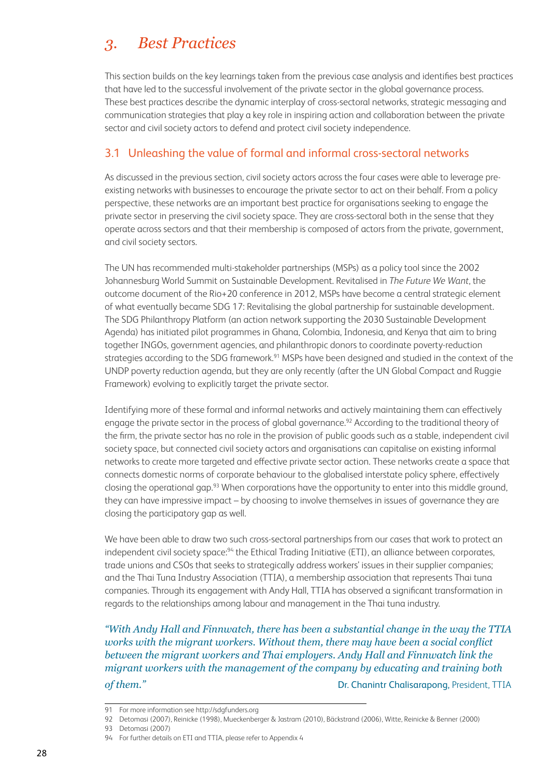# *3. Best Practices*

This section builds on the key learnings taken from the previous case analysis and identifies best practices that have led to the successful involvement of the private sector in the global governance process. These best practices describe the dynamic interplay of cross-sectoral networks, strategic messaging and communication strategies that play a key role in inspiring action and collaboration between the private sector and civil society actors to defend and protect civil society independence.

### 3.1 Unleashing the value of formal and informal cross-sectoral networks

As discussed in the previous section, civil society actors across the four cases were able to leverage preexisting networks with businesses to encourage the private sector to act on their behalf. From a policy perspective, these networks are an important best practice for organisations seeking to engage the private sector in preserving the civil society space. They are cross-sectoral both in the sense that they operate across sectors and that their membership is composed of actors from the private, government, and civil society sectors.

The UN has recommended multi-stakeholder partnerships (MSPs) as a policy tool since the 2002 Johannesburg World Summit on Sustainable Development. Revitalised in *The Future We Want*, the outcome document of the Rio+20 conference in 2012, MSPs have become a central strategic element of what eventually became SDG 17: Revitalising the global partnership for sustainable development. The SDG Philanthropy Platform (an action network supporting the 2030 Sustainable Development Agenda) has initiated pilot programmes in Ghana, Colombia, Indonesia, and Kenya that aim to bring together INGOs, government agencies, and philanthropic donors to coordinate poverty-reduction strategies according to the SDG framework.<sup>91</sup> MSPs have been designed and studied in the context of the UNDP poverty reduction agenda, but they are only recently (after the UN Global Compact and Ruggie Framework) evolving to explicitly target the private sector.

Identifying more of these formal and informal networks and actively maintaining them can effectively engage the private sector in the process of global governance.<sup>92</sup> According to the traditional theory of the firm, the private sector has no role in the provision of public goods such as a stable, independent civil society space, but connected civil society actors and organisations can capitalise on existing informal networks to create more targeted and effective private sector action. These networks create a space that connects domestic norms of corporate behaviour to the globalised interstate policy sphere, effectively closing the operational gap.93 When corporations have the opportunity to enter into this middle ground, they can have impressive impact – by choosing to involve themselves in issues of governance they are closing the participatory gap as well.

We have been able to draw two such cross-sectoral partnerships from our cases that work to protect an independent civil society space:<sup>94</sup> the Ethical Trading Initiative (ETI), an alliance between corporates, trade unions and CSOs that seeks to strategically address workers' issues in their supplier companies; and the Thai Tuna Industry Association (TTIA), a membership association that represents Thai tuna companies. Through its engagement with Andy Hall, TTIA has observed a significant transformation in regards to the relationships among labour and management in the Thai tuna industry.

*"With Andy Hall and Finnwatch, there has been a substantial change in the way the TTIA works with the migrant workers. Without them, there may have been a social conflict between the migrant workers and Thai employers. Andy Hall and Finnwatch link the migrant workers with the management of the company by educating and training both*  **of them." Dr. Chanintr Chalisarapong, President, TTIA** 

<sup>91</sup> For more information see http://sdgfunders.org

<sup>92</sup> Detomasi (2007), Reinicke (1998), Mueckenberger & Jastram (2010), Bäckstrand (2006), Witte, Reinicke & Benner (2000)

<sup>93</sup> Detomasi (2007)

<sup>94</sup> For further details on ETI and TTIA, please refer to Appendix 4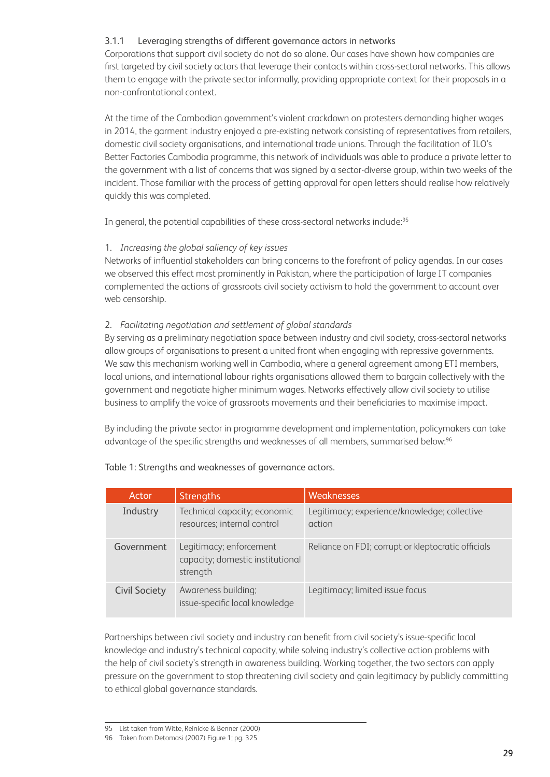#### 3.1.1 Leveraging strengths of different governance actors in networks

Corporations that support civil society do not do so alone. Our cases have shown how companies are first targeted by civil society actors that leverage their contacts within cross-sectoral networks. This allows them to engage with the private sector informally, providing appropriate context for their proposals in a non-confrontational context.

At the time of the Cambodian government's violent crackdown on protesters demanding higher wages in 2014, the garment industry enjoyed a pre-existing network consisting of representatives from retailers, domestic civil society organisations, and international trade unions. Through the facilitation of ILO's Better Factories Cambodia programme, this network of individuals was able to produce a private letter to the government with a list of concerns that was signed by a sector-diverse group, within two weeks of the incident. Those familiar with the process of getting approval for open letters should realise how relatively quickly this was completed.

In general, the potential capabilities of these cross-sectoral networks include:95

#### 1. *Increasing the global saliency of key issues*

Networks of influential stakeholders can bring concerns to the forefront of policy agendas. In our cases we observed this effect most prominently in Pakistan, where the participation of large IT companies complemented the actions of grassroots civil society activism to hold the government to account over web censorship.

#### 2. *Facilitating negotiation and settlement of global standards*

By serving as a preliminary negotiation space between industry and civil society, cross-sectoral networks allow groups of organisations to present a united front when engaging with repressive governments. We saw this mechanism working well in Cambodia, where a general agreement among ETI members, local unions, and international labour rights organisations allowed them to bargain collectively with the government and negotiate higher minimum wages. Networks effectively allow civil society to utilise business to amplify the voice of grassroots movements and their beneficiaries to maximise impact.

By including the private sector in programme development and implementation, policymakers can take advantage of the specific strengths and weaknesses of all members, summarised below:96

| Actor                | <b>Strengths</b>                                                        | <b>Weaknesses</b>                                      |
|----------------------|-------------------------------------------------------------------------|--------------------------------------------------------|
| Industry             | Technical capacity; economic<br>resources; internal control             | Legitimacy; experience/knowledge; collective<br>action |
| Government           | Legitimacy; enforcement<br>capacity; domestic institutional<br>strength | Reliance on FDI; corrupt or kleptocratic officials     |
| <b>Civil Society</b> | Awareness building;<br>issue-specific local knowledge                   | Legitimacy; limited issue focus                        |

#### Table 1: Strengths and weaknesses of governance actors.

Partnerships between civil society and industry can benefit from civil society's issue-specific local knowledge and industry's technical capacity, while solving industry's collective action problems with the help of civil society's strength in awareness building. Working together, the two sectors can apply pressure on the government to stop threatening civil society and gain legitimacy by publicly committing to ethical global governance standards.

<sup>95</sup> List taken from Witte, Reinicke & Benner (2000)

<sup>96</sup> Taken from Detomasi (2007) Figure 1; pg. 325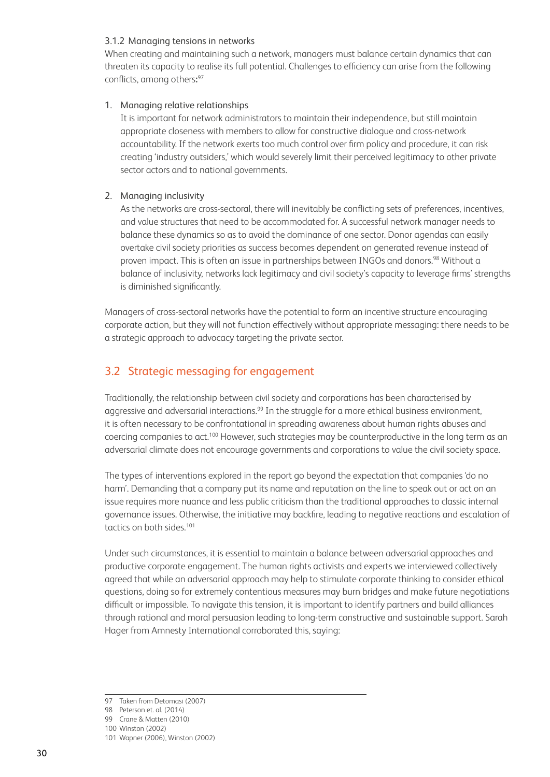#### 3.1.2 Managing tensions in networks

When creating and maintaining such a network, managers must balance certain dynamics that can threaten its capacity to realise its full potential. Challenges to efficiency can arise from the following conflicts, among others**:** 97

#### 1. Managing relative relationships

 It is important for network administrators to maintain their independence, but still maintain appropriate closeness with members to allow for constructive dialogue and cross-network accountability. If the network exerts too much control over firm policy and procedure, it can risk creating 'industry outsiders,' which would severely limit their perceived legitimacy to other private sector actors and to national governments.

#### 2. Managing inclusivity

 As the networks are cross-sectoral, there will inevitably be conflicting sets of preferences, incentives, and value structures that need to be accommodated for. A successful network manager needs to balance these dynamics so as to avoid the dominance of one sector. Donor agendas can easily overtake civil society priorities as success becomes dependent on generated revenue instead of proven impact. This is often an issue in partnerships between INGOs and donors.<sup>98</sup> Without a balance of inclusivity, networks lack legitimacy and civil society's capacity to leverage firms' strengths is diminished significantly.

Managers of cross-sectoral networks have the potential to form an incentive structure encouraging corporate action, but they will not function effectively without appropriate messaging: there needs to be a strategic approach to advocacy targeting the private sector.

## 3.2 Strategic messaging for engagement

Traditionally, the relationship between civil society and corporations has been characterised by aggressive and adversarial interactions.<sup>99</sup> In the struggle for a more ethical business environment, it is often necessary to be confrontational in spreading awareness about human rights abuses and coercing companies to act.<sup>100</sup> However, such strategies may be counterproductive in the long term as an adversarial climate does not encourage governments and corporations to value the civil society space.

The types of interventions explored in the report go beyond the expectation that companies 'do no harm'. Demanding that a company put its name and reputation on the line to speak out or act on an issue requires more nuance and less public criticism than the traditional approaches to classic internal governance issues. Otherwise, the initiative may backfire, leading to negative reactions and escalation of tactics on both sides.<sup>101</sup>

Under such circumstances, it is essential to maintain a balance between adversarial approaches and productive corporate engagement. The human rights activists and experts we interviewed collectively agreed that while an adversarial approach may help to stimulate corporate thinking to consider ethical questions, doing so for extremely contentious measures may burn bridges and make future negotiations difficult or impossible. To navigate this tension, it is important to identify partners and build alliances through rational and moral persuasion leading to long-term constructive and sustainable support. Sarah Hager from Amnesty International corroborated this, saying:

<sup>97</sup> Taken from Detomasi (2007)

<sup>98</sup> Peterson et. al. (2014)

<sup>99</sup> Crane & Matten (2010) 100 Winston (2002)

<sup>101</sup> Wapner (2006), Winston (2002)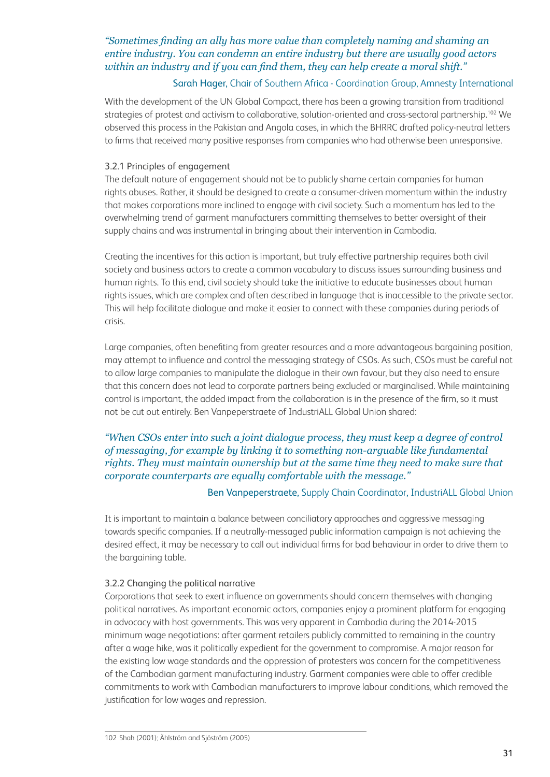#### *"Sometimes finding an ally has more value than completely naming and shaming an entire industry. You can condemn an entire industry but there are usually good actors within an industry and if you can find them, they can help create a moral shift."*

#### Sarah Hager, Chair of Southern Africa - Coordination Group, Amnesty International

With the development of the UN Global Compact, there has been a growing transition from traditional strategies of protest and activism to collaborative, solution-oriented and cross-sectoral partnership.<sup>102</sup> We observed this process in the Pakistan and Angola cases, in which the BHRRC drafted policy-neutral letters to firms that received many positive responses from companies who had otherwise been unresponsive.

#### 3.2.1 Principles of engagement

The default nature of engagement should not be to publicly shame certain companies for human rights abuses. Rather, it should be designed to create a consumer-driven momentum within the industry that makes corporations more inclined to engage with civil society. Such a momentum has led to the overwhelming trend of garment manufacturers committing themselves to better oversight of their supply chains and was instrumental in bringing about their intervention in Cambodia.

Creating the incentives for this action is important, but truly effective partnership requires both civil society and business actors to create a common vocabulary to discuss issues surrounding business and human rights. To this end, civil society should take the initiative to educate businesses about human rights issues, which are complex and often described in language that is inaccessible to the private sector. This will help facilitate dialogue and make it easier to connect with these companies during periods of crisis.

Large companies, often benefiting from greater resources and a more advantageous bargaining position, may attempt to influence and control the messaging strategy of CSOs. As such, CSOs must be careful not to allow large companies to manipulate the dialogue in their own favour, but they also need to ensure that this concern does not lead to corporate partners being excluded or marginalised. While maintaining control is important, the added impact from the collaboration is in the presence of the firm, so it must not be cut out entirely. Ben Vanpeperstraete of IndustriALL Global Union shared:

#### *"When CSOs enter into such a joint dialogue process, they must keep a degree of control of messaging, for example by linking it to something non-arguable like fundamental rights. They must maintain ownership but at the same time they need to make sure that corporate counterparts are equally comfortable with the message."*

#### Ben Vanpeperstraete, Supply Chain Coordinator, IndustriALL Global Union

It is important to maintain a balance between conciliatory approaches and aggressive messaging towards specific companies. If a neutrally-messaged public information campaign is not achieving the desired effect, it may be necessary to call out individual firms for bad behaviour in order to drive them to the bargaining table.

#### 3.2.2 Changing the political narrative

Corporations that seek to exert influence on governments should concern themselves with changing political narratives. As important economic actors, companies enjoy a prominent platform for engaging in advocacy with host governments. This was very apparent in Cambodia during the 2014-2015 minimum wage negotiations: after garment retailers publicly committed to remaining in the country after a wage hike, was it politically expedient for the government to compromise. A major reason for the existing low wage standards and the oppression of protesters was concern for the competitiveness of the Cambodian garment manufacturing industry. Garment companies were able to offer credible commitments to work with Cambodian manufacturers to improve labour conditions, which removed the justification for low wages and repression.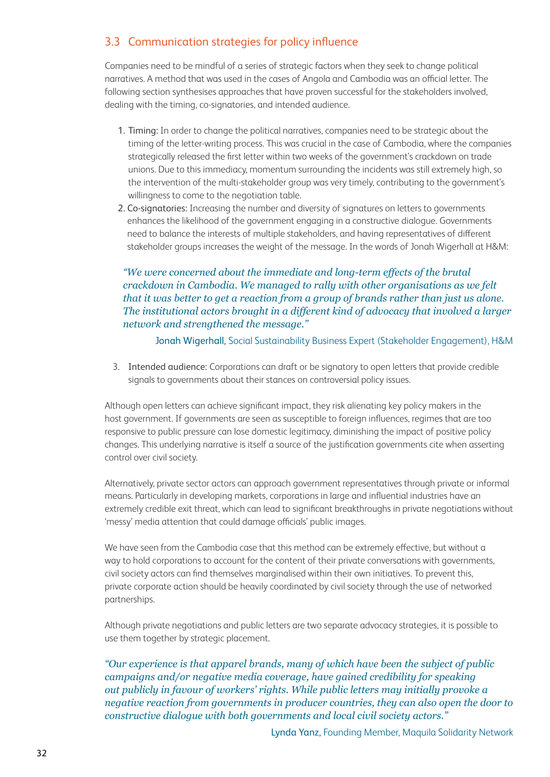# 3.3 Communication strategies for policy influence

Companies need to be mindful of a series of strategic factors when they seek to change political narratives. A method that was used in the cases of Angola and Cambodia was an official letter. The following section synthesises approaches that have proven successful for the stakeholders involved, dealing with the timing, co-signatories, and intended audience.

- 1. Timing: In order to change the political narratives, companies need to be strategic about the timing of the letter-writing process. This was crucial in the case of Cambodia, where the companies strategically released the first letter within two weeks of the government's crackdown on trade unions. Due to this immediacy, momentum surrounding the incidents was still extremely high, so the intervention of the multi-stakeholder group was very timely, contributing to the government's willingness to come to the negotiation table.
- 2. Co-signatories: Increasing the number and diversity of signatures on letters to governments enhances the likelihood of the government engaging in a constructive dialogue. Governments need to balance the interests of multiple stakeholders, and having representatives of different stakeholder groups increases the weight of the message. In the words of Jonah Wigerhall at H&M:

#### *"We were concerned about the immediate and long-term effects of the brutal crackdown in Cambodia. We managed to rally with other organisations as we felt that it was better to get a reaction from a group of brands rather than just us alone. The institutional actors brought in a different kind of advocacy that involved a larger network and strengthened the message."*

Jonah Wigerhall, Social Sustainability Business Expert (Stakeholder Engagement), H&M

3. Intended audience: Corporations can draft or be signatory to open letters that provide credible signals to governments about their stances on controversial policy issues.

Although open letters can achieve significant impact, they risk alienating key policy makers in the host government. If governments are seen as susceptible to foreign influences, regimes that are too responsive to public pressure can lose domestic legitimacy, diminishing the impact of positive policy changes. This underlying narrative is itself a source of the justification governments cite when asserting control over civil society.

Alternatively, private sector actors can approach government representatives through private or informal means. Particularly in developing markets, corporations in large and influential industries have an extremely credible exit threat, which can lead to significant breakthroughs in private negotiations without 'messy' media attention that could damage officials' public images.

We have seen from the Cambodia case that this method can be extremely effective, but without a way to hold corporations to account for the content of their private conversations with governments, civil society actors can find themselves marginalised within their own initiatives. To prevent this, private corporate action should be heavily coordinated by civil society through the use of networked partnerships.

Although private negotiations and public letters are two separate advocacy strategies, it is possible to use them together by strategic placement.

*"Our experience is that apparel brands, many of which have been the subject of public campaigns and/or negative media coverage, have gained credibility for speaking out publicly in favour of workers' rights. While public letters may initially provoke a negative reaction from governments in producer countries, they can also open the door to constructive dialogue with both governments and local civil society actors."*

Lynda Yanz, Founding Member, Maquila Solidarity Network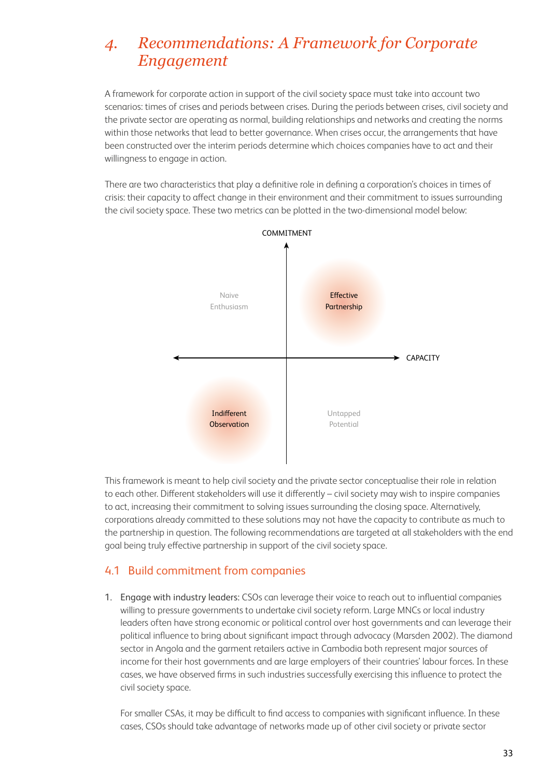# *4. Recommendations: A Framework for Corporate Engagement*

A framework for corporate action in support of the civil society space must take into account two scenarios: times of crises and periods between crises. During the periods between crises, civil society and the private sector are operating as normal, building relationships and networks and creating the norms within those networks that lead to better governance. When crises occur, the arrangements that have been constructed over the interim periods determine which choices companies have to act and their willingness to engage in action.

There are two characteristics that play a definitive role in defining a corporation's choices in times of crisis: their capacity to affect change in their environment and their commitment to issues surrounding the civil society space. These two metrics can be plotted in the two-dimensional model below:



This framework is meant to help civil society and the private sector conceptualise their role in relation to each other. Different stakeholders will use it differently – civil society may wish to inspire companies to act, increasing their commitment to solving issues surrounding the closing space. Alternatively, corporations already committed to these solutions may not have the capacity to contribute as much to the partnership in question. The following recommendations are targeted at all stakeholders with the end goal being truly effective partnership in support of the civil society space.

## 4.1 Build commitment from companies

1. Engage with industry leaders: CSOs can leverage their voice to reach out to influential companies willing to pressure governments to undertake civil society reform. Large MNCs or local industry leaders often have strong economic or political control over host governments and can leverage their political influence to bring about significant impact through advocacy (Marsden 2002). The diamond sector in Angola and the garment retailers active in Cambodia both represent major sources of income for their host governments and are large employers of their countries' labour forces. In these cases, we have observed firms in such industries successfully exercising this influence to protect the civil society space.

 For smaller CSAs, it may be difficult to find access to companies with significant influence. In these cases, CSOs should take advantage of networks made up of other civil society or private sector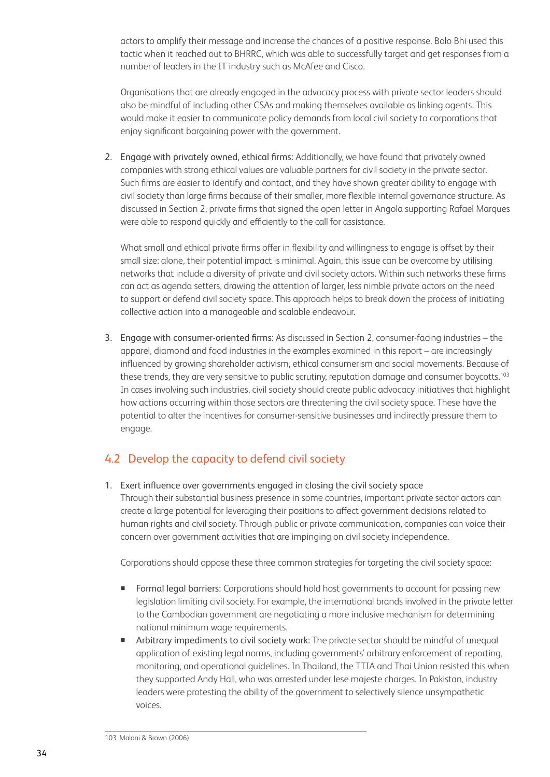actors to amplify their message and increase the chances of a positive response. Bolo Bhi used this tactic when it reached out to BHRRC, which was able to successfully target and get responses from a number of leaders in the IT industry such as McAfee and Cisco.

 Organisations that are already engaged in the advocacy process with private sector leaders should also be mindful of including other CSAs and making themselves available as linking agents. This would make it easier to communicate policy demands from local civil society to corporations that enjoy significant bargaining power with the government.

2. Engage with privately owned, ethical firms: Additionally, we have found that privately owned companies with strong ethical values are valuable partners for civil society in the private sector. Such firms are easier to identify and contact, and they have shown greater ability to engage with civil society than large firms because of their smaller, more flexible internal governance structure. As discussed in Section 2, private firms that signed the open letter in Angola supporting Rafael Marques were able to respond quickly and efficiently to the call for assistance.

 What small and ethical private firms offer in flexibility and willingness to engage is offset by their small size: alone, their potential impact is minimal. Again, this issue can be overcome by utilising networks that include a diversity of private and civil society actors. Within such networks these firms can act as agenda setters, drawing the attention of larger, less nimble private actors on the need to support or defend civil society space. This approach helps to break down the process of initiating collective action into a manageable and scalable endeavour.

3. Engage with consumer-oriented firms: As discussed in Section 2, consumer-facing industries – the apparel, diamond and food industries in the examples examined in this report – are increasingly influenced by growing shareholder activism, ethical consumerism and social movements. Because of these trends, they are very sensitive to public scrutiny, reputation damage and consumer boycotts.<sup>103</sup> In cases involving such industries, civil society should create public advocacy initiatives that highlight how actions occurring within those sectors are threatening the civil society space. These have the potential to alter the incentives for consumer-sensitive businesses and indirectly pressure them to engage.

# 4.2 Develop the capacity to defend civil society

1. Exert influence over governments engaged in closing the civil society space Through their substantial business presence in some countries, important private sector actors can create a large potential for leveraging their positions to affect government decisions related to human rights and civil society. Through public or private communication, companies can voice their concern over government activities that are impinging on civil society independence.

Corporations should oppose these three common strategies for targeting the civil society space:

- Formal legal barriers: Corporations should hold host governments to account for passing new legislation limiting civil society. For example, the international brands involved in the private letter to the Cambodian government are negotiating a more inclusive mechanism for determining national minimum wage requirements.
- Arbitrary impediments to civil society work: The private sector should be mindful of unequal application of existing legal norms, including governments' arbitrary enforcement of reporting, monitoring, and operational guidelines. In Thailand, the TTIA and Thai Union resisted this when they supported Andy Hall, who was arrested under lese majeste charges. In Pakistan, industry leaders were protesting the ability of the government to selectively silence unsympathetic voices.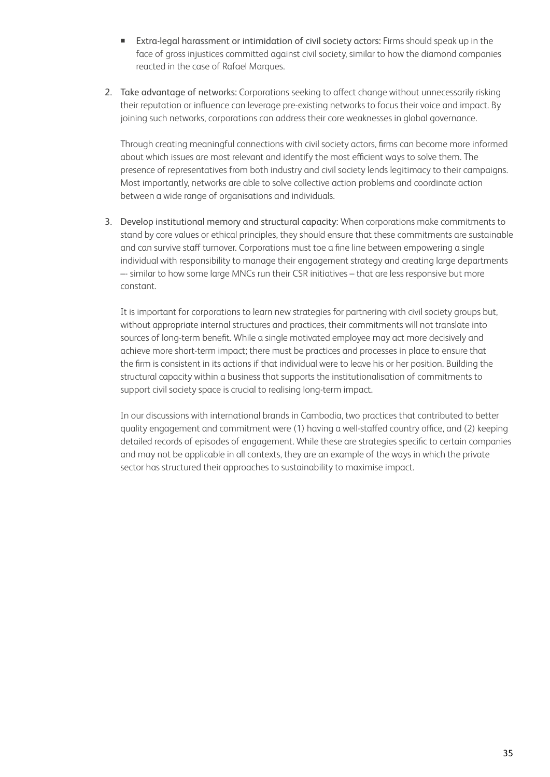- Extra-legal harassment or intimidation of civil society actors: Firms should speak up in the face of gross injustices committed against civil society, similar to how the diamond companies reacted in the case of Rafael Marques.
- 2. Take advantage of networks: Corporations seeking to affect change without unnecessarily risking their reputation or influence can leverage pre-existing networks to focus their voice and impact. By joining such networks, corporations can address their core weaknesses in global governance.

 Through creating meaningful connections with civil society actors, firms can become more informed about which issues are most relevant and identify the most efficient ways to solve them. The presence of representatives from both industry and civil society lends legitimacy to their campaigns. Most importantly, networks are able to solve collective action problems and coordinate action between a wide range of organisations and individuals.

3. Develop institutional memory and structural capacity: When corporations make commitments to stand by core values or ethical principles, they should ensure that these commitments are sustainable and can survive staff turnover. Corporations must toe a fine line between empowering a single individual with responsibility to manage their engagement strategy and creating large departments –- similar to how some large MNCs run their CSR initiatives – that are less responsive but more constant.

 It is important for corporations to learn new strategies for partnering with civil society groups but, without appropriate internal structures and practices, their commitments will not translate into sources of long-term benefit. While a single motivated employee may act more decisively and achieve more short-term impact; there must be practices and processes in place to ensure that the firm is consistent in its actions if that individual were to leave his or her position. Building the structural capacity within a business that supports the institutionalisation of commitments to support civil society space is crucial to realising long-term impact.

 In our discussions with international brands in Cambodia, two practices that contributed to better quality engagement and commitment were (1) having a well-staffed country office, and (2) keeping detailed records of episodes of engagement. While these are strategies specific to certain companies and may not be applicable in all contexts, they are an example of the ways in which the private sector has structured their approaches to sustainability to maximise impact.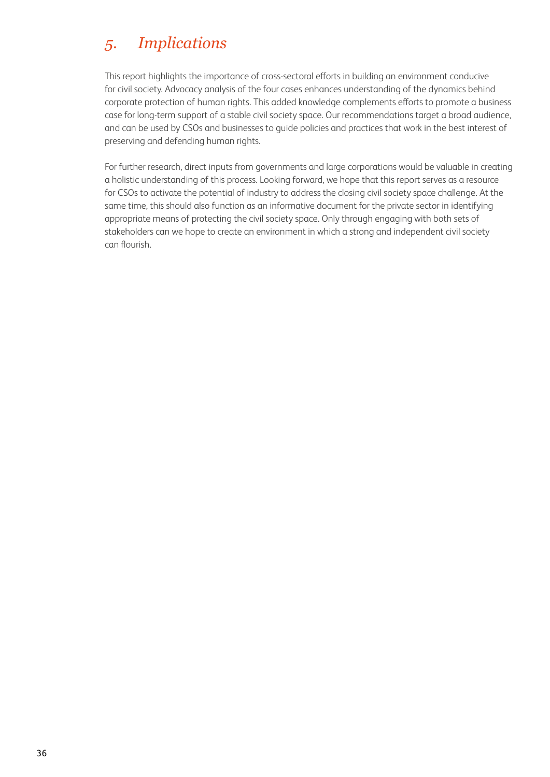# *5. Implications*

This report highlights the importance of cross-sectoral efforts in building an environment conducive for civil society. Advocacy analysis of the four cases enhances understanding of the dynamics behind corporate protection of human rights. This added knowledge complements efforts to promote a business case for long-term support of a stable civil society space. Our recommendations target a broad audience, and can be used by CSOs and businesses to guide policies and practices that work in the best interest of preserving and defending human rights.

For further research, direct inputs from governments and large corporations would be valuable in creating a holistic understanding of this process. Looking forward, we hope that this report serves as a resource for CSOs to activate the potential of industry to address the closing civil society space challenge. At the same time, this should also function as an informative document for the private sector in identifying appropriate means of protecting the civil society space. Only through engaging with both sets of stakeholders can we hope to create an environment in which a strong and independent civil society can flourish.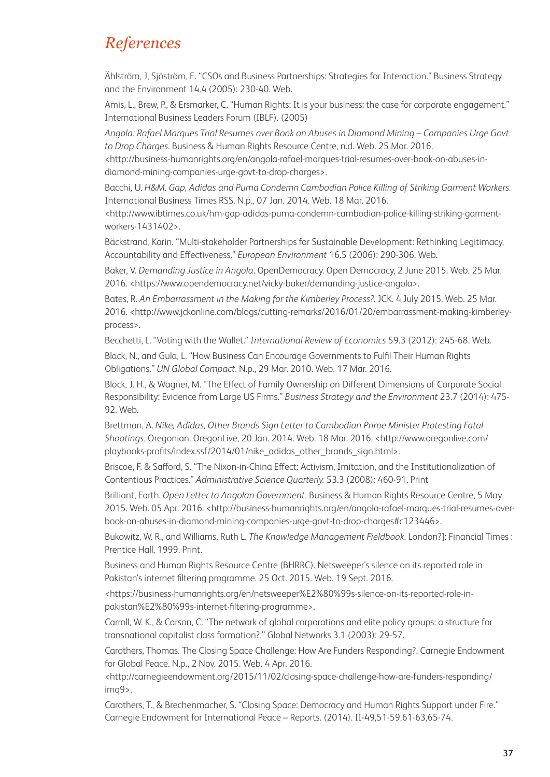# *References*

Ählström, J, Sjöström, E. "CSOs and Business Partnerships: Strategies for Interaction." Business Strategy and the Environment 14.4 (2005): 230-40. Web.

Amis, L., Brew, P., & Ersmarker, C. "Human Rights: It is your business: the case for corporate engagement." International Business Leaders Forum (IBLF). (2005)

*Angola: Rafael Marques Trial Resumes over Book on Abuses in Diamond Mining – Companies Urge Govt. to Drop Charges*. Business & Human Rights Resource Centre, n.d. Web. 25 Mar. 2016.

[<http://business-humanrights.org/en/angola-rafael-marques-trial-resumes-over-book-on-abuses-in](http://business-humanrights.org/en/angola-rafael-marques-trial-resumes-over-book-on-abuses-in-diamond-mining-companies-urge-govt-to-drop-charges)[diamond-mining-companies-urge-govt-to-drop-charges](http://business-humanrights.org/en/angola-rafael-marques-trial-resumes-over-book-on-abuses-in-diamond-mining-companies-urge-govt-to-drop-charges)>.

Bacchi, U. *H&M, Gap, Adidas and Puma Condemn Cambodian Police Killing of Striking Garment Workers.* International Business Times RSS. N.p., 07 Jan. 2014. Web. 18 Mar. 2016.

[<http://www.ibtimes.co.uk/hm-gap-adidas-puma-condemn-cambodian-police-killing-striking-garment](http://www.ibtimes.co.uk/hm-gap-adidas-puma-condemn-cambodian-police-killing-striking-garment-workers-1431402)[workers-1431402>](http://www.ibtimes.co.uk/hm-gap-adidas-puma-condemn-cambodian-police-killing-striking-garment-workers-1431402).

Bäckstrand, Karin. "Multi-stakeholder Partnerships for Sustainable Development: Rethinking Legitimacy, Accountability and Effectiveness." *European Environment* 16.5 (2006): 290-306. Web.

Baker, V. *Demanding Justice in Angola*. OpenDemocracy. Open Democracy, 2 June 2015. Web. 25 Mar. 2016. [<https://www.opendemocracy.net/vicky-baker/demanding-justice-angola>](https://www.opendemocracy.net/vicky-baker/demanding-justice-angola).

Bates, R. *An Embarrassment in the Making for the Kimberley Process?*. JCK. 4 July 2015. Web. 25 Mar. 2016. [<http://www.jckonline.com/blogs/cutting-remarks/2016/01/20/embarrassment-making-kimberley](http://www.jckonline.com/blogs/cutting-remarks/2016/01/20/embarrassment-making-kimberley-process)[process>](http://www.jckonline.com/blogs/cutting-remarks/2016/01/20/embarrassment-making-kimberley-process).

Becchetti, L. "Voting with the Wallet." *International Review of Economics* 59.3 (2012): 245-68. Web.

Black, N., and Gula, L. "How Business Can Encourage Governments to Fulfil Their Human Rights Obligations." *UN Global Compact*. N.p., 29 Mar. 2010. Web. 17 Mar. 2016.

Block, J. H., & Wagner, M. "The Effect of Family Ownership on Different Dimensions of Corporate Social Responsibility: Evidence from Large US Firms." *Business Strategy and the Environment* 23.7 (2014): 475- 92. Web.

Brettman, A. *Nike, Adidas, Other Brands Sign Letter to Cambodian Prime Minister Protesting Fatal Shootings.* Oregonian. OregonLive, 20 Jan. 2014. Web. 18 Mar. 2016. <[http://www.oregonlive.com/](http://www.oregonlive.com/playbooks-profits/index.ssf/2014/01/nike_adidas_other_brands_sign.htm) [playbooks-profits/index.ssf/2014/01/nike\\_adidas\\_other\\_brands\\_sign.html](http://www.oregonlive.com/playbooks-profits/index.ssf/2014/01/nike_adidas_other_brands_sign.htm)>.

Briscoe, F. & Safford, S. "The Nixon-in-China Effect: Activism, Imitation, and the Institutionalization of Contentious Practices." *Administrative Science Quarterly.* 53.3 (2008): 460-91. Print

Brilliant, Earth. *Open Letter to Angolan Government.* Business & Human Rights Resource Centre, 5 May 2015. Web. 05 Apr. 2016. <[http://business-humanrights.org/en/angola-rafael-marques-trial-resumes-over](http://business-humanrights.org/en/angola-rafael-marques-trial-resumes-over-book-on-abuses-in-diamond-mining-companies-urge-govt-to-drop-charges#c123446)[book-on-abuses-in-diamond-mining-companies-urge-govt-to-drop-charges#c123446>](http://business-humanrights.org/en/angola-rafael-marques-trial-resumes-over-book-on-abuses-in-diamond-mining-companies-urge-govt-to-drop-charges#c123446).

Bukowitz, W. R., and Williams, Ruth L. *The Knowledge Management Fieldbook*. London?]: Financial Times : Prentice Hall, 1999. Print.

Business and Human Rights Resource Centre (BHRRC). Netsweeper's silence on its reported role in Pakistan's internet filtering programme. 25 Oct. 2015. Web. 19 Sept. 2016.

[<https://business-humanrights.org/en/netsweeper%E2%80%99s-silence-on-its-reported-role-in](https://business-humanrights.org/en/netsweeper%E2%80%99s-silence-on-its-reported-role-in-pakistan%E2%80%99s-internet-filtering-programme)[pakistan%E2%80%99s-internet-filtering-programme](https://business-humanrights.org/en/netsweeper%E2%80%99s-silence-on-its-reported-role-in-pakistan%E2%80%99s-internet-filtering-programme)>.

Carroll, W. K., & Carson, C. "The network of global corporations and elite policy groups: a structure for transnational capitalist class formation?." Global Networks 3.1 (2003): 29-57.

Carothers, Thomas. The Closing Space Challenge: How Are Funders Responding?. Carnegie Endowment for Global Peace. N.p., 2 Nov. 2015. Web. 4 Apr. 2016.

[<http://carnegieendowment.org/2015/11/02/closing-space-challenge-how-are-funders-responding/](http://carnegieendowment.org/2015/11/02/closing-space-challenge-how-are-funders-responding/imq9) [imq9](http://carnegieendowment.org/2015/11/02/closing-space-challenge-how-are-funders-responding/imq9)>.

Carothers, T., & Brechenmacher, S. "Closing Space: Democracy and Human Rights Support under Fire." Carnegie Endowment for International Peace – Reports. (2014). II-49,51-59,61-63,65-74.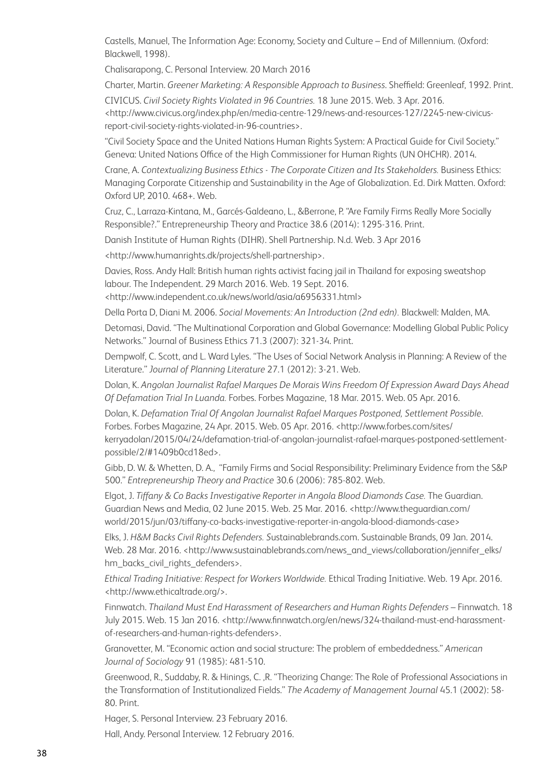Castells, Manuel, The Information Age: Economy, Society and Culture – End of Millennium. (Oxford: Blackwell, 1998).

Chalisarapong, C. Personal Interview. 20 March 2016

Charter, Martin. *Greener Marketing: A Responsible Approach to Business*. Sheffield: Greenleaf, 1992. Print.

CIVICUS. *Civil Society Rights Violated in 96 Countries.* 18 June 2015. Web. 3 Apr. 2016. [<http://www.civicus.org/index.php/en/media-centre-129/news-and-resources-127/2245-new-civicus](http://www.civicus.org/index.php/en/media-centre-129/news-and-resources-127/2245-new-civicus-report-civil-society-rights-violated-in-96-countries)[report-civil-society-rights-violated-in-96-countries](http://www.civicus.org/index.php/en/media-centre-129/news-and-resources-127/2245-new-civicus-report-civil-society-rights-violated-in-96-countries)>.

"Civil Society Space and the United Nations Human Rights System: A Practical Guide for Civil Society." Geneva: United Nations Office of the High Commissioner for Human Rights (UN OHCHR). 2014.

Crane, A. *Contextualizing Business Ethics - The Corporate Citizen and Its Stakeholders.* Business Ethics: Managing Corporate Citizenship and Sustainability in the Age of Globalization. Ed. Dirk Matten. Oxford: Oxford UP, 2010. 468+. Web.

Cruz, C., Larraza-Kintana, M., Garcés-Galdeano, L., &Berrone, P. "Are Family Firms Really More Socially Responsible?." Entrepreneurship Theory and Practice 38.6 (2014): 1295-316. Print.

Danish Institute of Human Rights (DIHR). Shell Partnership. N.d. Web. 3 Apr 2016

[<http://www.humanrights.dk/projects/shell-partnership>](http://www.humanrights.dk/projects/shell-partnership).

Davies, Ross. Andy Hall: British human rights activist facing jail in Thailand for exposing sweatshop labour. The Independent. 29 March 2016. Web. 19 Sept. 2016.

[<http://www.independent.co.uk/news/world/asia/a6956331.html>](http://www.independent.co.uk/news/world/asia/a6956331.html)

Della Porta D, Diani M. 2006. *Social Movements: An Introduction (2nd edn).* Blackwell: Malden, MA.

Detomasi, David. "The Multinational Corporation and Global Governance: Modelling Global Public Policy Networks." Journal of Business Ethics 71.3 (2007): 321-34. Print.

Dempwolf, C. Scott, and L. Ward Lyles. "The Uses of Social Network Analysis in Planning: A Review of the Literature." *Journal of Planning Literature* 27.1 (2012): 3-21. Web.

Dolan, K. *Angolan Journalist Rafael Marques De Morais Wins Freedom Of Expression Award Days Ahead Of Defamation Trial In Luanda.* Forbes. Forbes Magazine, 18 Mar. 2015. Web. 05 Apr. 2016.

Dolan, K. *Defamation Trial Of Angolan Journalist Rafael Marques Postponed, Settlement Possible*. Forbes. Forbes Magazine, 24 Apr. 2015. Web. 05 Apr. 2016. [<http://www.forbes.com/sites/](http://www.forbes.com/sites/kerryadolan/2015/04/24/defamation-trial-of-angolan-journalist-rafael-marques-postponed-settlement-possible/2/#1409b0cd18ed) [kerryadolan/2015/04/24/defamation-trial-of-angolan-journalist-rafael-marques-postponed-settlement](http://www.forbes.com/sites/kerryadolan/2015/04/24/defamation-trial-of-angolan-journalist-rafael-marques-postponed-settlement-possible/2/#1409b0cd18ed)[possible/2/#1409b0cd18ed](http://www.forbes.com/sites/kerryadolan/2015/04/24/defamation-trial-of-angolan-journalist-rafael-marques-postponed-settlement-possible/2/#1409b0cd18ed)>.

Gibb, D. W. & Whetten, D. A., "Family Firms and Social Responsibility: Preliminary Evidence from the S&P 500." *Entrepreneurship Theory and Practice* 30.6 (2006): 785-802. Web.

Elgot, J. *Tiffany & Co Backs Investigative Reporter in Angola Blood Diamonds Case.* The Guardian. Guardian News and Media, 02 June 2015. Web. 25 Mar. 2016. <[http://www.theguardian.com/](http://www.theguardian.com/world/2015/jun/03/tiffany-co-backs-investigative-reporter-in-angola-blood-diamonds-case) [world/2015/jun/03/tiffany-co-backs-investigative-reporter-in-angola-blood-diamonds-case](http://www.theguardian.com/world/2015/jun/03/tiffany-co-backs-investigative-reporter-in-angola-blood-diamonds-case)>

Elks, J. *H&M Backs Civil Rights Defenders. S*ustainablebrands.com. Sustainable Brands, 09 Jan. 2014. Web. 28 Mar. 2016. [<http://www.sustainablebrands.com/news\\_and\\_views/collaboration/jennifer\\_elks/](http://www.sustainablebrands.com/news_and_views/collaboration/jennifer_elks/hm_backs_civil_rights_defenders) [hm\\_backs\\_civil\\_rights\\_defenders>](http://www.sustainablebrands.com/news_and_views/collaboration/jennifer_elks/hm_backs_civil_rights_defenders).

*Ethical Trading Initiative: Respect for Workers Worldwide.* Ethical Trading Initiative. Web. 19 Apr. 2016. [<http://www.ethicaltrade.org/](http://www.ethicaltrade.org/)>.

Finnwatch. *Thailand Must End Harassment of Researchers and Human Rights Defenders* – Finnwatch. 18 July 2015. Web. 15 Jan 2016. <[http://www.finnwatch.org/en/news/324-thailand-must-end-harassment](http://www.finnwatch.org/en/news/324-thailand-must-end-harassment-of-researchers-and-human-rights-defenders)[of-researchers-and-human-rights-defenders>](http://www.finnwatch.org/en/news/324-thailand-must-end-harassment-of-researchers-and-human-rights-defenders).

Granovetter, M. "Economic action and social structure: The problem of embeddedness." *American Journal of Sociology* 91 (1985): 481-510.

Greenwood, R., Suddaby, R. & Hinings, C. ,R. "Theorizing Change: The Role of Professional Associations in the Transformation of Institutionalized Fields." *The Academy of Management Journal* 45.1 (2002): 58- 80. Print.

Hager, S. Personal Interview. 23 February 2016.

Hall, Andy. Personal Interview. 12 February 2016.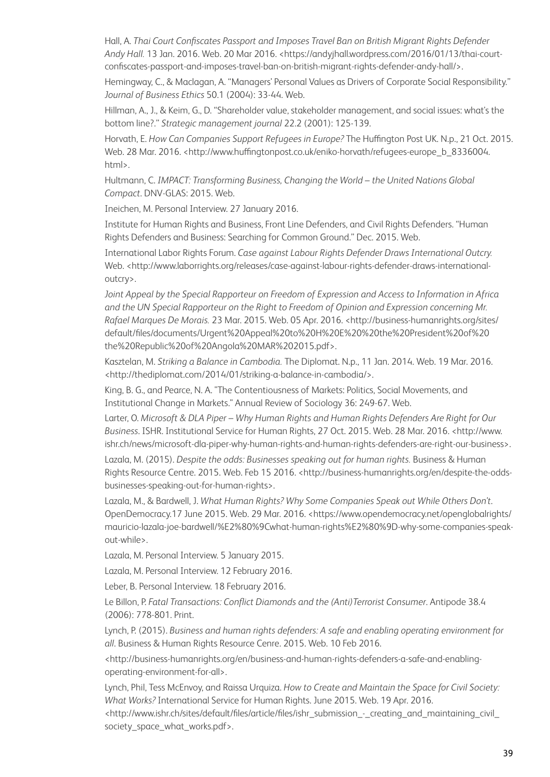Hall, A. *Thai Court Confiscates Passport and Imposes Travel Ban on British Migrant Rights Defender Andy Hall.* 13 Jan. 2016. Web. 20 Mar 2016. <[https://andyjhall.wordpress.com/2016/01/13/thai-court](https://andyjhall.wordpress.com/2016/01/13/thai-court-confiscates-passport-and-imposes-travel-ban-on-british-migrant-rights-defender-andy-hall/)[confiscates-passport-and-imposes-travel-ban-on-british-migrant-rights-defender-andy-hall/>](https://andyjhall.wordpress.com/2016/01/13/thai-court-confiscates-passport-and-imposes-travel-ban-on-british-migrant-rights-defender-andy-hall/).

Hemingway, C., & Maclagan, A. "Managers' Personal Values as Drivers of Corporate Social Responsibility." *Journal of Business Ethics* 50.1 (2004): 33-44. Web.

Hillman, A., J., & Keim, G., D. "Shareholder value, stakeholder management, and social issues: what's the bottom line?." *Strategic management journal* 22.2 (2001): 125-139.

Horvath, E. *How Can Companies Support Refugees in Europe?* The Huffington Post UK. N.p., 21 Oct. 2015. Web. 28 Mar. 2016. [<http://www.huffingtonpost.co.uk/eniko-horvath/refugees-europe\\_b\\_8336004.](http://www.huffingtonpost.co.uk/eniko-horvath/refugees-europe_b_8336004.html) [html>](http://www.huffingtonpost.co.uk/eniko-horvath/refugees-europe_b_8336004.html).

Hultmann, C. *IMPACT: Transforming Business, Changing the World – the United Nations Global Compact*. DNV-GLAS: 2015. Web.

Ineichen, M. Personal Interview. 27 January 2016.

Institute for Human Rights and Business, Front Line Defenders, and Civil Rights Defenders. "Human Rights Defenders and Business: Searching for Common Ground." Dec. 2015. Web.

International Labor Rights Forum. *Case against Labour Rights Defender Draws International Outcry.*  Web. <[http://www.laborrights.org/releases/case-against-labour-rights-defender-draws-international](http://www.laborrights.org/releases/case-against-labour-rights-defender-draws-international-outcry)[outcry>](http://www.laborrights.org/releases/case-against-labour-rights-defender-draws-international-outcry).

*Joint Appeal by the Special Rapporteur on Freedom of Expression and Access to Information in Africa and the UN Special Rapporteur on the Right to Freedom of Opinion and Expression concerning Mr. Rafael Marques De Morais.* 23 Mar. 2015. Web. 05 Apr. 2016. [<http://business-humanrights.org/sites/](http://business-humanrights.org/sites/default/files/documents/Urgent%20Appeal%20to%20H%20E%20%20the%20President%20of%20the%20Republic%20of%20Angola%20MAR%202015.pdf) [default/files/documents/Urgent%20Appeal%20to%20H%20E%20%20the%20President%20of%20](http://business-humanrights.org/sites/default/files/documents/Urgent%20Appeal%20to%20H%20E%20%20the%20President%20of%20the%20Republic%20of%20Angola%20MAR%202015.pdf) [the%20Republic%20of%20Angola%20MAR%202015.pdf>](http://business-humanrights.org/sites/default/files/documents/Urgent%20Appeal%20to%20H%20E%20%20the%20President%20of%20the%20Republic%20of%20Angola%20MAR%202015.pdf).

Kasztelan, M. *Striking a Balance in Cambodia.* The Diplomat. N.p., 11 Jan. 2014. Web. 19 Mar. 2016. [<http://thediplomat.com/2014/01/striking-a-balance-in-cambodia/>.](http://thediplomat.com/2014/01/striking-a-balance-in-cambodia/>)

King, B. G., and Pearce, N. A. "The Contentiousness of Markets: Politics, Social Movements, and Institutional Change in Markets." Annual Review of Sociology 36: 249-67. Web.

Larter, O. *Microsoft & DLA Piper – Why Human Rights and Human Rights Defenders Are Right for Our Business*. ISHR. Institutional Service for Human Rights, 27 Oct. 2015. Web. 28 Mar. 2016. <[http://www.](http://www.ishr.ch/news/microsoft-dla-piper-why-human-rights-and-human-rights-defenders-are-right-our-business) [ishr.ch/news/microsoft-dla-piper-why-human-rights-and-human-rights-defenders-are-right-our-business>](http://www.ishr.ch/news/microsoft-dla-piper-why-human-rights-and-human-rights-defenders-are-right-our-business).

Lazala, M. (2015). *Despite the odds: Businesses speaking out for human rights.* Business & Human Rights Resource Centre. 2015. Web. Feb 15 2016. <[http://business-humanrights.org/en/despite-the-odds](http://business-humanrights.org/en/despite-the-odds-businesses-speaking-out-for-human-rights)[businesses-speaking-out-for-human-rights](http://business-humanrights.org/en/despite-the-odds-businesses-speaking-out-for-human-rights)>.

Lazala, M., & Bardwell, J. *What Human Rights? Why Some Companies Speak out While Others Don't*. OpenDemocracy.17 June 2015. Web. 29 Mar. 2016. [<https://www.opendemocracy.net/openglobalrights/](https://www.opendemocracy.net/openglobalrights/mauricio-lazala-joe-bardwell/%E2%80%9Cwhat-human-rights%E2%80%9D-why-some-companies-speak-out-while) [mauricio-lazala-joe-bardwell/%E2%80%9Cwhat-human-rights%E2%80%9D-why-some-companies-speak](https://www.opendemocracy.net/openglobalrights/mauricio-lazala-joe-bardwell/%E2%80%9Cwhat-human-rights%E2%80%9D-why-some-companies-speak-out-while)[out-while>](https://www.opendemocracy.net/openglobalrights/mauricio-lazala-joe-bardwell/%E2%80%9Cwhat-human-rights%E2%80%9D-why-some-companies-speak-out-while).

Lazala, M. Personal Interview. 5 January 2015.

Lazala, M. Personal Interview. 12 February 2016.

Leber, B. Personal Interview. 18 February 2016.

Le Billon, P. *Fatal Transactions: Conflict Diamonds and the (Anti)Terrorist Consumer*. Antipode 38.4 (2006): 778-801. Print.

Lynch, P. (2015). *Business and human rights defenders: A safe and enabling operating environment for all*. Business & Human Rights Resource Cenre. 2015. Web. 10 Feb 2016.

[<http://business-humanrights.org/en/business-and-human-rights-defenders-a-safe-and-enabling](http://business-humanrights.org/en/business-and-human-rights-defenders-a-safe-and-enabling-operating-environment-for-all)[operating-environment-for-all](http://business-humanrights.org/en/business-and-human-rights-defenders-a-safe-and-enabling-operating-environment-for-all)>.

Lynch, Phil, Tess McEnvoy, and Raissa Urquiza. *How to Create and Maintain the Space for Civil Society: What Works?* International Service for Human Rights. June 2015. Web. 19 Apr. 2016.

[<http://www.ishr.ch/sites/default/files/article/files/ishr\\_submission\\_-\\_creating\\_and\\_maintaining\\_civil\\_](http://www.ishr.ch/sites/default/files/article/files/ishr_submission_-_creating_and_maintaining_civil_society_space_what_works.pdf) [society\\_space\\_what\\_works.pdf](http://www.ishr.ch/sites/default/files/article/files/ishr_submission_-_creating_and_maintaining_civil_society_space_what_works.pdf)>.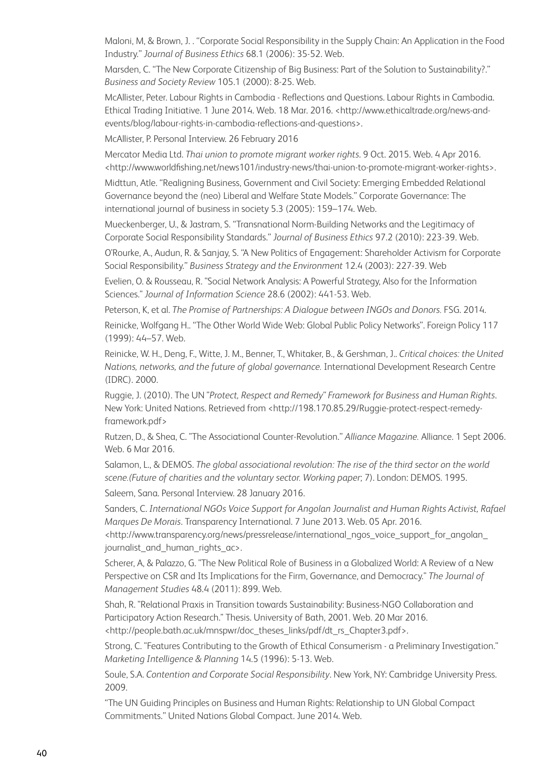Maloni, M, & Brown, J. . "Corporate Social Responsibility in the Supply Chain: An Application in the Food Industry." *Journal of Business Ethics* 68.1 (2006): 35-52. Web.

Marsden, C. "The New Corporate Citizenship of Big Business: Part of the Solution to Sustainability?." *Business and Society Review* 105.1 (2000): 8-25. Web.

McAllister, Peter. Labour Rights in Cambodia - Reflections and Questions. Labour Rights in Cambodia. Ethical Trading Initiative. 1 June 2014. Web. 18 Mar. 2016. [<http://www.ethicaltrade.org/news-and](http://www.ethicaltrade.org/news-and-events/blog/labour-rights-in-cambodia-reflections-and-questions)[events/blog/labour-rights-in-cambodia-reflections-and-questions](http://www.ethicaltrade.org/news-and-events/blog/labour-rights-in-cambodia-reflections-and-questions)>.

McAllister, P. Personal Interview. 26 February 2016

Mercator Media Ltd. *Thai union to promote migrant worker rights*. 9 Oct. 2015. Web. 4 Apr 2016. [<http://www.worldfishing.net/news101/industry-news/thai-union-to-promote-migrant-worker-rights>](http://www.worldfishing.net/news101/industry-news/thai-union-to-promote-migrant-worker-rights).

Midttun, Atle. "Realigning Business, Government and Civil Society: Emerging Embedded Relational Governance beyond the (neo) Liberal and Welfare State Models." Corporate Governance: The international journal of business in society 5.3 (2005): 159–174. Web.

Mueckenberger, U., & Jastram, S. "Transnational Norm-Building Networks and the Legitimacy of Corporate Social Responsibility Standards." *Journal of Business Ethics* 97.2 (2010): 223-39. Web.

O'Rourke, A., Audun, R. & Sanjay, S. "A New Politics of Engagement: Shareholder Activism for Corporate Social Responsibility." *Business Strategy and the Environment* 12.4 (2003): 227-39. Web

Evelien, O. & Rousseau, R. "Social Network Analysis: A Powerful Strategy, Also for the Information Sciences." *Journal of Information Science* 28.6 (2002): 441-53. Web.

Peterson, K, et al. *The Promise of Partnerships: A Dialogue between INGOs and Donors.* FSG. 2014.

Reinicke, Wolfgang H.. "The Other World Wide Web: Global Public Policy Networks". Foreign Policy 117 (1999): 44–57. Web.

Reinicke, W. H., Deng, F., Witte, J. M., Benner, T., Whitaker, B., & Gershman, J.. *Critical choices: the United Nations, networks, and the future of global governance.* International Development Research Centre (IDRC). 2000.

Ruggie, J. (2010). The UN "*Protect, Respect and Remedy" Framework for Business and Human Rights*. New York: United Nations. Retrieved from <[http://198.170.85.29/Ruggie-protect-respect-remedy](http://198.170.85.29/Ruggie-protect-respect-remedy-framework.pdf)[framework.pdf](http://198.170.85.29/Ruggie-protect-respect-remedy-framework.pdf)>

Rutzen, D., & Shea, C. "The Associational Counter-Revolution." *Alliance Magazine.* Alliance. 1 Sept 2006. Web. 6 Mar 2016.

Salamon, L., & DEMOS. *The global associational revolution: The rise of the third sector on the world scene.(Future of charities and the voluntary sector. Working paper*; 7). London: DEMOS. 1995.

Saleem, Sana. Personal Interview. 28 January 2016.

Sanders, C. *International NGOs Voice Support for Angolan Journalist and Human Rights Activist, Rafael Marques De Morais*. Transparency International. 7 June 2013. Web. 05 Apr. 2016.

[<http://www.transparency.org/news/pressrelease/international\\_ngos\\_voice\\_support\\_for\\_angolan\\_](http://www.transparency.org/news/pressrelease/international_ngos_voice_support_for_angolan_journalist_and_human_rights_ac) journalist and human rights ac>.

Scherer, A, & Palazzo, G. "The New Political Role of Business in a Globalized World: A Review of a New Perspective on CSR and Its Implications for the Firm, Governance, and Democracy." *The Journal of Management Studies* 48.4 (2011): 899. Web.

Shah, R. "Relational Praxis in Transition towards Sustainability: Business-NGO Collaboration and Participatory Action Research." Thesis. University of Bath, 2001. Web. 20 Mar 2016. [<http://people.bath.ac.uk/mnspwr/doc\\_theses\\_links/pdf/dt\\_rs\\_Chapter3.pdf>](http://people.bath.ac.uk/mnspwr/doc_theses_links/pdf/dt_rs_Chapter3.pdf).

Strong, C. "Features Contributing to the Growth of Ethical Consumerism - a Preliminary Investigation." *Marketing Intelligence & Planning* 14.5 (1996): 5-13. Web.

Soule, S.A. *Contention and Corporate Social Responsibility*. New York, NY: Cambridge University Press. 2009.

"The UN Guiding Principles on Business and Human Rights: Relationship to UN Global Compact Commitments." United Nations Global Compact. June 2014. Web.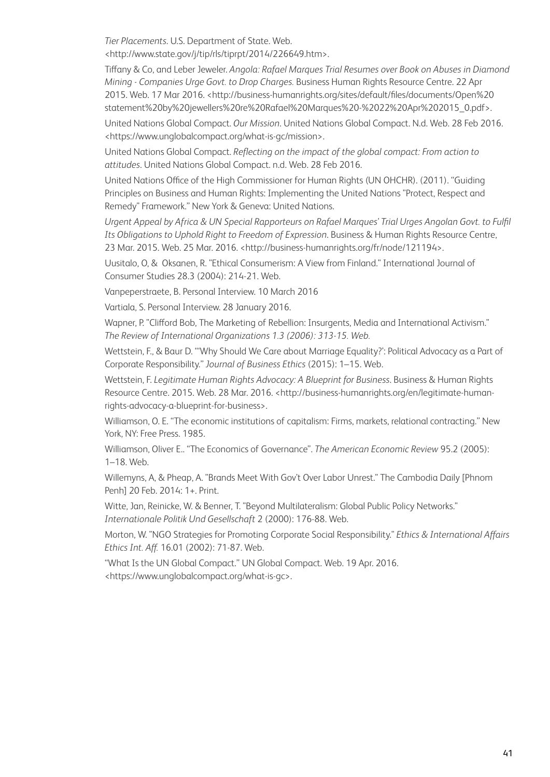*Tier Placements*. U.S. Department of State. Web. [<http://www.state.gov/j/tip/rls/tiprpt/2014/226649.htm>](http://www.state.gov/j/tip/rls/tiprpt/2014/226649.htm).

Tiffany & Co, and Leber Jeweler. *Angola: Rafael Marques Trial Resumes over Book on Abuses in Diamond Mining - Companies Urge Govt. to Drop Charges.* Business Human Rights Resource Centre. 22 Apr 2015. Web. 17 Mar 2016. <[http://business-humanrights.org/sites/default/files/documents/Open%20](http://business-humanrights.org/sites/default/files/documents/Open%20statement%20by%20jewellers%20re%20Rafael%20Marques%20-%2022%20Apr%202015_0.pdf) [statement%20by%20jewellers%20re%20Rafael%20Marques%20-%2022%20Apr%202015\\_0.pdf](http://business-humanrights.org/sites/default/files/documents/Open%20statement%20by%20jewellers%20re%20Rafael%20Marques%20-%2022%20Apr%202015_0.pdf)>.

United Nations Global Compact. *Our Mission*. United Nations Global Compact. N.d. Web. 28 Feb 2016. [<https://www.unglobalcompact.org/what-is-gc/mission>](https://www.unglobalcompact.org/what-is-gc/mission).

United Nations Global Compact. *Reflecting on the impact of the global compact: From action to attitudes*. United Nations Global Compact. n.d. Web. 28 Feb 2016.

United Nations Office of the High Commissioner for Human Rights (UN OHCHR). (2011). "Guiding Principles on Business and Human Rights: Implementing the United Nations "Protect, Respect and Remedy" Framework." New York & Geneva: United Nations.

*Urgent Appeal by Africa & UN Special Rapporteurs on Rafael Marques' Trial Urges Angolan Govt. to Fulfil Its Obligations to Uphold Right to Freedom of Expression*. Business & Human Rights Resource Centre, 23 Mar. 2015. Web. 25 Mar. 2016. <<http://business-humanrights.org/fr/node/121194>>.

Uusitalo, O, & Oksanen, R. "Ethical Consumerism: A View from Finland." International Journal of Consumer Studies 28.3 (2004): 214-21. Web.

Vanpeperstraete, B. Personal Interview. 10 March 2016

Vartiala, S. Personal Interview. 28 January 2016.

Wapner, P. "Clifford Bob, The Marketing of Rebellion: Insurgents, Media and International Activism." *The Review of International Organizations 1.3 (2006): 313-15. Web.*

Wettstein, F., & Baur D. "'Why Should We Care about Marriage Equality?': Political Advocacy as a Part of Corporate Responsibility." *Journal of Business Ethics* (2015): 1–15. Web.

Wettstein, F. *Legitimate Human Rights Advocacy: A Blueprint for Business*. Business & Human Rights Resource Centre. 2015. Web. 28 Mar. 2016. <[http://business-humanrights.org/en/legitimate-human](http://business-humanrights.org/en/legitimate-human-rights-advocacy-a-blueprint-for-business)[rights-advocacy-a-blueprint-for-business>](http://business-humanrights.org/en/legitimate-human-rights-advocacy-a-blueprint-for-business).

Williamson, O. E. "The economic institutions of capitalism: Firms, markets, relational contracting." New York, NY: Free Press. 1985.

Williamson, Oliver E.. "The Economics of Governance". *The American Economic Review* 95.2 (2005): 1–18. Web.

Willemyns, A, & Pheap, A. "Brands Meet With Gov't Over Labor Unrest." The Cambodia Daily [Phnom Penh] 20 Feb. 2014: 1+. Print.

Witte, Jan, Reinicke, W. & Benner, T. "Beyond Multilateralism: Global Public Policy Networks." *Internationale Politik Und Gesellschaft* 2 (2000): 176-88. Web.

Morton, W. "NGO Strategies for Promoting Corporate Social Responsibility." *Ethics & International Affairs Ethics Int. Aff.* 16.01 (2002): 71-87. Web.

"What Is the UN Global Compact." UN Global Compact. Web. 19 Apr. 2016. [<https://www.unglobalcompact.org/what-is-gc>](https://www.unglobalcompact.org/what-is-gc).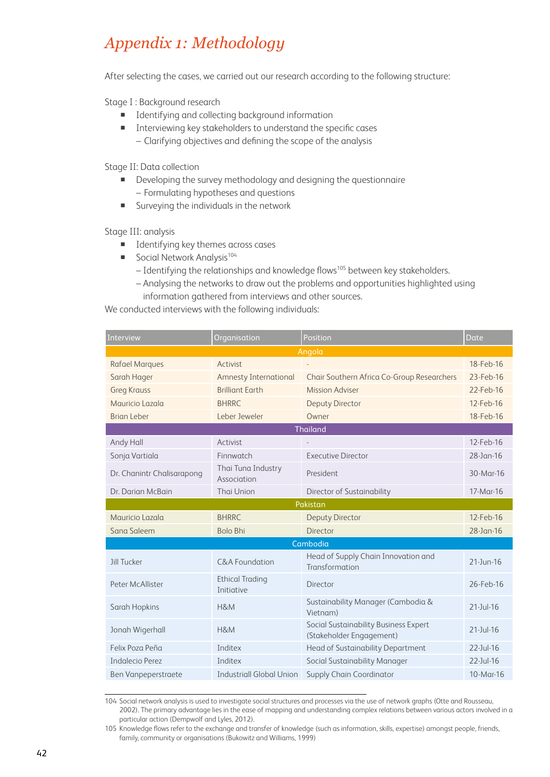# *Appendix 1: Methodology*

After selecting the cases, we carried out our research according to the following structure:

Stage I : Background research

- **IDENTIFY** Identifying and collecting background information
- Interviewing key stakeholders to understand the specific cases – Clarifying objectives and defining the scope of the analysis

Stage II: Data collection

- Developing the survey methodology and designing the questionnaire – Formulating hypotheses and questions
- Surveying the individuals in the network

Stage III: analysis

- **IDENTIFY LONGING INCOCO EXECUTE:** Identifying key themes across cases
- Social Network Analysis<sup>104</sup>
	- Identifying the relationships and knowledge flows<sup>105</sup> between key stakeholders.
	- Analysing the networks to draw out the problems and opportunities highlighted using information gathered from interviews and other sources.

We conducted interviews with the following individuals:

| Organisation<br>Interview  |                                      | Position                                                          | Date            |  |  |  |
|----------------------------|--------------------------------------|-------------------------------------------------------------------|-----------------|--|--|--|
| Angola                     |                                      |                                                                   |                 |  |  |  |
| <b>Rafael Marques</b>      | Activist                             |                                                                   | 18-Feb-16       |  |  |  |
| Sarah Hager                | <b>Amnesty International</b>         | Chair Southern Africa Co-Group Researchers                        | 23-Feb-16       |  |  |  |
| <b>Greg Krauss</b>         | <b>Brilliant Earth</b>               | <b>Mission Adviser</b>                                            | 22-Feb-16       |  |  |  |
| Mauricio Lazala            | <b>BHRRC</b>                         | <b>Deputy Director</b>                                            | 12-Feb-16       |  |  |  |
| <b>Brian Leber</b>         | Leber Jeweler                        | Owner                                                             | 18-Feb-16       |  |  |  |
|                            |                                      | <b>Thailand</b>                                                   |                 |  |  |  |
| Andy Hall                  | Activist                             |                                                                   | 12-Feb-16       |  |  |  |
| Sonja Vartiala             | Finnwatch                            | <b>Executive Director</b>                                         | 28-Jan-16       |  |  |  |
| Dr. Chanintr Chalisarapong | Thai Tuna Industry<br>Association    | President                                                         | 30-Mar-16       |  |  |  |
| Dr. Darian McBain          | Thai Union                           | Director of Sustainability                                        | 17-Mar-16       |  |  |  |
|                            |                                      | Pakistan                                                          |                 |  |  |  |
| Mauricio Lazala            | <b>BHRRC</b>                         | <b>Deputy Director</b>                                            | 12-Feb-16       |  |  |  |
| Sana Saleem                | <b>Bolo Bhi</b>                      | Director                                                          | 28-Jan-16       |  |  |  |
|                            |                                      | Cambodia                                                          |                 |  |  |  |
| Jill Tucker                | C&A Foundation                       | Head of Supply Chain Innovation and<br>Transformation             | 21-Jun-16       |  |  |  |
| Peter McAllister           | <b>Ethical Trading</b><br>Initiative | Director                                                          | 26-Feb-16       |  |  |  |
| Sarah Hopkins              | H&M                                  | Sustainability Manager (Cambodia &<br>Vietnam)                    | $21 - Jul - 16$ |  |  |  |
| Jonah Wigerhall            | H&M                                  | Social Sustainability Business Expert<br>(Stakeholder Engagement) | $21 - Jul - 16$ |  |  |  |
| Felix Poza Peña            | Inditex                              | Head of Sustainability Department                                 | $22$ -Jul-16    |  |  |  |
| Indalecio Perez            | Inditex                              | Social Sustainability Manager                                     | $22$ -Jul-16    |  |  |  |
| Ben Vanpeperstraete        | <b>Industriall Global Union</b>      | Supply Chain Coordinator                                          | 10-Mar-16       |  |  |  |

<sup>104</sup> Social network analysis is used to investigate social structures and processes via the use of network graphs (Otte and Rousseau, 2002). The primary advantage lies in the ease of mapping and understanding complex relations between various actors involved in a particular action (Dempwolf and Lyles, 2012).

<sup>105</sup> Knowledge flows refer to the exchange and transfer of knowledge (such as information, skills, expertise) amongst people, friends, family, community or organisations (Bukowitz and Williams, 1999)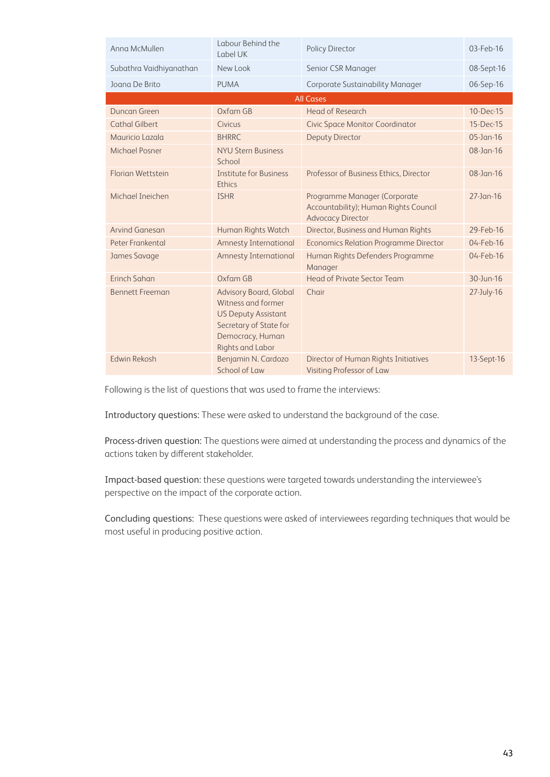| Anna McMullen           | Labour Behind the<br>Label UK                                                                                                                       | Policy Director                                                                                   | 03-Feb-16    |
|-------------------------|-----------------------------------------------------------------------------------------------------------------------------------------------------|---------------------------------------------------------------------------------------------------|--------------|
| Subathra Vaidhiyanathan | New Look                                                                                                                                            | Senior CSR Manager                                                                                | 08-Sept-16   |
| Joana De Brito          | <b>PUMA</b>                                                                                                                                         | Corporate Sustainability Manager                                                                  | 06-Sep-16    |
|                         |                                                                                                                                                     | <b>All Cases</b>                                                                                  |              |
| Duncan Green            | $Ox$ fam GB                                                                                                                                         | Head of Research                                                                                  | 10-Dec-15    |
| <b>Cathal Gilbert</b>   | Civicus                                                                                                                                             | <b>Civic Space Monitor Coordinator</b>                                                            | 15-Dec-15    |
| Mauricio Lazala         | <b>BHRRC</b>                                                                                                                                        | <b>Deputy Director</b>                                                                            | $05$ -Jan-16 |
| <b>Michael Posner</b>   | <b>NYU Stern Business</b><br>School                                                                                                                 |                                                                                                   | $08$ -Jan-16 |
| Florian Wettstein       | <b>Institute for Business</b><br>Ethics                                                                                                             | Professor of Business Ethics, Director                                                            | $08$ -Jan-16 |
| Michael Ineichen        | <b>ISHR</b>                                                                                                                                         | Programme Manager (Corporate<br>Accountability); Human Rights Council<br><b>Advocacy Director</b> | $27$ -Jan-16 |
| Arvind Ganesan          | Human Rights Watch                                                                                                                                  | Director, Business and Human Rights                                                               | 29-Feb-16    |
| Peter Frankental        | <b>Amnesty International</b>                                                                                                                        | <b>Economics Relation Programme Director</b>                                                      | 04-Feb-16    |
| James Savage            | <b>Amnesty International</b>                                                                                                                        | Human Rights Defenders Programme<br>Manager                                                       | 04-Feb-16    |
| Erinch Sahan            | Oxfam GB                                                                                                                                            | Head of Private Sector Team                                                                       | 30-Jun-16    |
| <b>Bennett Freeman</b>  | Advisory Board, Global<br>Witness and former<br><b>US Deputy Assistant</b><br>Secretary of State for<br>Democracy, Human<br><b>Rights and Labor</b> | Chair                                                                                             | 27-July-16   |
| <b>Edwin Rekosh</b>     | Benjamin N. Cardozo<br>School of Law                                                                                                                | Director of Human Rights Initiatives<br>Visiting Professor of Law                                 | 13-Sept-16   |

Following is the list of questions that was used to frame the interviews:

Introductory questions: These were asked to understand the background of the case.

Process-driven question: The questions were aimed at understanding the process and dynamics of the actions taken by different stakeholder.

Impact-based question: these questions were targeted towards understanding the interviewee's perspective on the impact of the corporate action.

Concluding questions: These questions were asked of interviewees regarding techniques that would be most useful in producing positive action.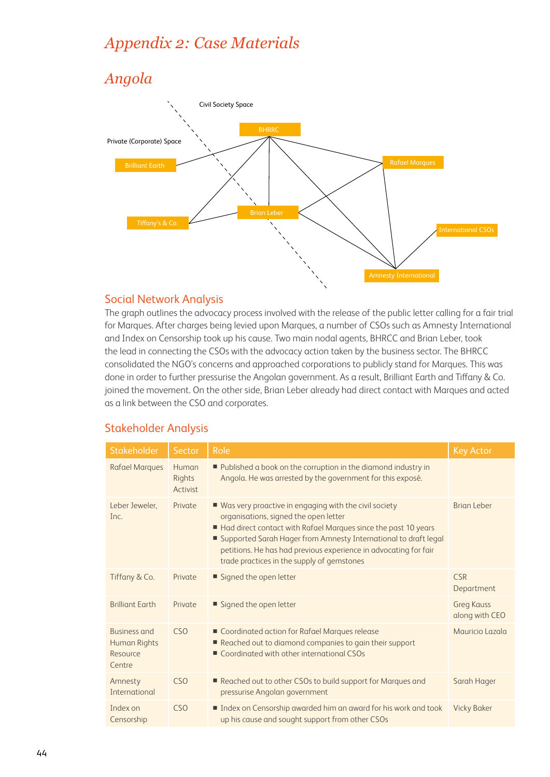# *Appendix 2: Case Materials*

# *Angola*



#### Social Network Analysis

The graph outlines the advocacy process involved with the release of the public letter calling for a fair trial for Marques. After charges being levied upon Marques, a number of CSOs such as Amnesty International and Index on Censorship took up his cause. Two main nodal agents, BHRCC and Brian Leber, took the lead in connecting the CSOs with the advocacy action taken by the business sector. The BHRCC consolidated the NGO's concerns and approached corporations to publicly stand for Marques. This was done in order to further pressurise the Angolan government. As a result, Brilliant Earth and Tiffany & Co. joined the movement. On the other side, Brian Leber already had direct contact with Marques and acted as a link between the CSO and corporates.

## Stakeholder Analysis

| Stakeholder                                               | Sector                      | Role                                                                                                                                                                                                                                                                                                                                                      | <b>Key Actor</b>                    |
|-----------------------------------------------------------|-----------------------------|-----------------------------------------------------------------------------------------------------------------------------------------------------------------------------------------------------------------------------------------------------------------------------------------------------------------------------------------------------------|-------------------------------------|
| <b>Rafael Marques</b>                                     | Human<br>Rights<br>Activist | Published a book on the corruption in the diamond industry in<br>Angola. He was arrested by the government for this exposé.                                                                                                                                                                                                                               |                                     |
| Leber Jeweler,<br>Inc.                                    | Private                     | ■ Was very proactive in engaging with the civil society<br>organisations, signed the open letter<br>Had direct contact with Rafael Marques since the past 10 years<br>■ Supported Sarah Hager from Amnesty International to draft legal<br>petitions. He has had previous experience in advocating for fair<br>trade practices in the supply of gemstones | <b>Brian Leber</b>                  |
| Tiffany & Co.                                             | Private                     | Signed the open letter                                                                                                                                                                                                                                                                                                                                    | <b>CSR</b><br>Department            |
| <b>Brilliant Earth</b>                                    | Private                     | Signed the open letter                                                                                                                                                                                                                                                                                                                                    | <b>Greg Kauss</b><br>along with CEO |
| <b>Business and</b><br>Human Rights<br>Resource<br>Centre | C <sub>SO</sub>             | ■ Coordinated action for Rafael Marques release<br>Reached out to diamond companies to gain their support<br>■ Coordinated with other international CSOs                                                                                                                                                                                                  | Mauricio Lazala                     |
| Amnesty<br>International                                  | C <sub>SO</sub>             | Reached out to other CSOs to build support for Marques and<br>pressurise Angolan government                                                                                                                                                                                                                                                               | Sarah Hager                         |
| Index on<br>Censorship                                    | C <sub>SO</sub>             | Index on Censorship awarded him an award for his work and took<br>up his cause and sought support from other CSOs                                                                                                                                                                                                                                         | <b>Vicky Baker</b>                  |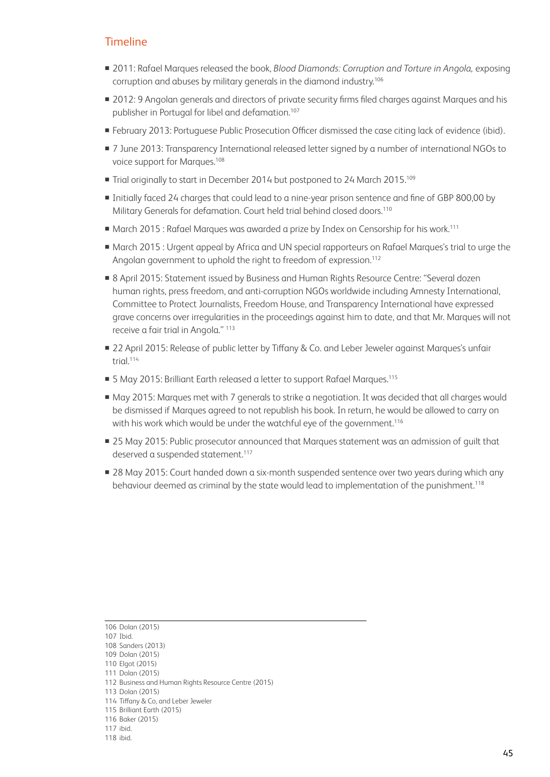#### **Timeline**

- 2011: Rafael Marques released the book, *Blood Diamonds: Corruption and Torture in Angola,* exposing corruption and abuses by military generals in the diamond industry.106
- 2012: 9 Angolan generals and directors of private security firms filed charges against Marques and his publisher in Portugal for libel and defamation.107
- February 2013: Portuguese Public Prosecution Officer dismissed the case citing lack of evidence (ibid).
- 7 June 2013: Transparency International released letter signed by a number of international NGOs to voice support for Marques.108
- Trial originally to start in December 2014 but postponed to 24 March 2015.<sup>109</sup>
- Initially faced 24 charges that could lead to a nine-year prison sentence and fine of GBP 800,00 by Military Generals for defamation. Court held trial behind closed doors.110
- March 2015 : Rafael Marques was awarded a prize by Index on Censorship for his work.<sup>111</sup>
- March 2015 : Urgent appeal by Africa and UN special rapporteurs on Rafael Marques's trial to urge the Angolan government to uphold the right to freedom of expression.<sup>112</sup>
- 8 April 2015: Statement issued by Business and Human Rights Resource Centre: "Several dozen human rights, press freedom, and anti-corruption NGOs worldwide including Amnesty International, Committee to Protect Journalists, Freedom House, and Transparency International have expressed grave concerns over irregularities in the proceedings against him to date, and that Mr. Marques will not receive a fair trial in Angola." 113
- 22 April 2015: Release of public letter by Tiffany & Co. and Leber Jeweler against Marques's unfair trial.<sup>114</sup>
- 5 May 2015: Brilliant Earth released a letter to support Rafael Marques.<sup>115</sup>
- May 2015: Marques met with 7 generals to strike a negotiation. It was decided that all charges would be dismissed if Marques agreed to not republish his book. In return, he would be allowed to carry on with his work which would be under the watchful eye of the government.<sup>116</sup>
- 25 May 2015: Public prosecutor announced that Marques statement was an admission of guilt that deserved a suspended statement.<sup>117</sup>
- 28 May 2015: Court handed down a six-month suspended sentence over two years during which any behaviour deemed as criminal by the state would lead to implementation of the punishment.<sup>118</sup>

113 Dolan (2015)

<sup>106</sup> Dolan (2015)

<sup>107</sup> Ibid.

<sup>108</sup> Sanders (2013)

<sup>109</sup> Dolan (2015)

<sup>110</sup> Elgot (2015)

<sup>111</sup> Dolan (2015)

<sup>112</sup> Business and Human Rights Resource Centre (2015)

<sup>114</sup> Tiffany & Co, and Leber Jeweler

<sup>115</sup> Brilliant Earth (2015)

<sup>116</sup> Baker (2015)

<sup>117</sup> ibid.

<sup>118</sup> ibid.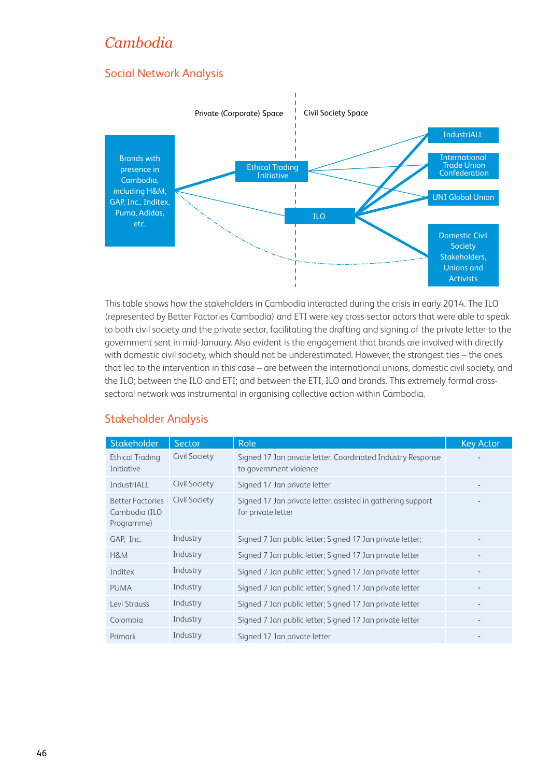# *Cambodia*

# Social Network Analysis



This table shows how the stakeholders in Cambodia interacted during the crisis in early 2014. The ILO (represented by Better Factories Cambodia) and ETI were key cross-sector actors that were able to speak to both civil society and the private sector, facilitating the drafting and signing of the private letter to the government sent in mid-January. Also evident is the engagement that brands are involved with directly with domestic civil society, which should not be underestimated. However, the strongest ties – the ones that led to the intervention in this case – are between the international unions, domestic civil society, and the ILO; between the ILO and ETI; and between the ETI, ILO and brands. This extremely formal crosssectoral network was instrumental in organising collective action within Cambodia.

## Stakeholder Analysis

| Stakeholder                                            | Sector        | Role                                                                                  | <b>Key Actor</b> |
|--------------------------------------------------------|---------------|---------------------------------------------------------------------------------------|------------------|
| <b>Ethical Trading</b><br>Initiative                   | Civil Society | Signed 17 Jan private letter, Coordinated Industry Response<br>to government violence |                  |
| IndustriALL                                            | Civil Society | Signed 17 Jan private letter                                                          |                  |
| <b>Better Factories</b><br>Cambodia (ILO<br>Programme) | Civil Society | Signed 17 Jan private letter, assisted in gathering support<br>for private letter     |                  |
| GAP, Inc.                                              | Industry      | Signed 7 Jan public letter; Signed 17 Jan private letter;                             |                  |
| H&M                                                    | Industry      | Signed 7 Jan public letter; Signed 17 Jan private letter                              |                  |
| Inditex                                                | Industry      | Signed 7 Jan public letter; Signed 17 Jan private letter                              |                  |
| <b>PUMA</b>                                            | Industry      | Signed 7 Jan public letter; Signed 17 Jan private letter                              |                  |
| Levi Strauss                                           | Industry      | Signed 7 Jan public letter; Signed 17 Jan private letter                              |                  |
| Colombia                                               | Industry      | Signed 7 Jan public letter; Signed 17 Jan private letter                              |                  |
| Primark                                                | Industry      | Signed 17 Jan private letter                                                          |                  |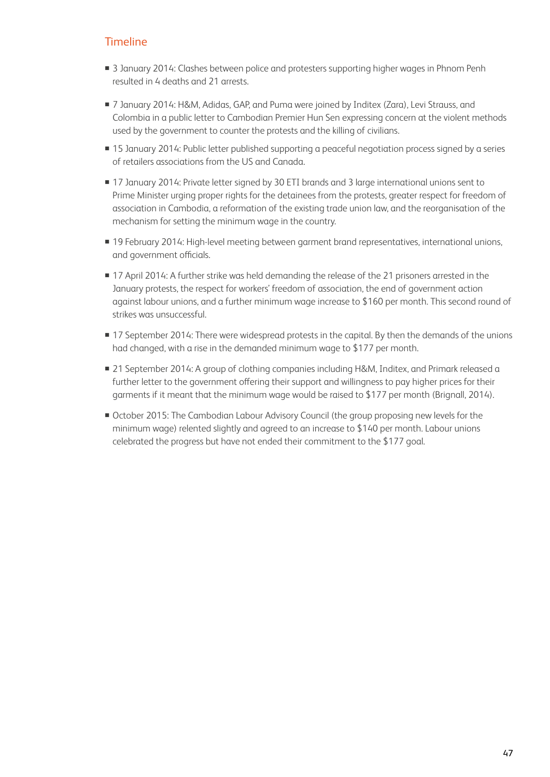## **Timeline**

- **3** January 2014: Clashes between police and protesters supporting higher wages in Phnom Penh resulted in 4 deaths and 21 arrests.
- 7 January 2014: H&M, Adidas, GAP, and Puma were joined by Inditex (Zara), Levi Strauss, and Colombia in a public letter to Cambodian Premier Hun Sen expressing concern at the violent methods used by the government to counter the protests and the killing of civilians.
- 15 January 2014: Public letter published supporting a peaceful negotiation process signed by a series of retailers associations from the US and Canada.
- 17 January 2014: Private letter signed by 30 ETI brands and 3 large international unions sent to Prime Minister urging proper rights for the detainees from the protests, greater respect for freedom of association in Cambodia, a reformation of the existing trade union law, and the reorganisation of the mechanism for setting the minimum wage in the country.
- **19 February 2014: High-level meeting between garment brand representatives, international unions,** and government officials.
- 17 April 2014: A further strike was held demanding the release of the 21 prisoners arrested in the January protests, the respect for workers' freedom of association, the end of government action against labour unions, and a further minimum wage increase to \$160 per month. This second round of strikes was unsuccessful.
- 17 September 2014: There were widespread protests in the capital. By then the demands of the unions had changed, with a rise in the demanded minimum wage to \$177 per month.
- 21 September 2014: A group of clothing companies including H&M, Inditex, and Primark released a further letter to the government offering their support and willingness to pay higher prices for their garments if it meant that the minimum wage would be raised to \$177 per month (Brignall, 2014).
- October 2015: The Cambodian Labour Advisory Council (the group proposing new levels for the minimum wage) relented slightly and agreed to an increase to \$140 per month. Labour unions celebrated the progress but have not ended their commitment to the \$177 goal.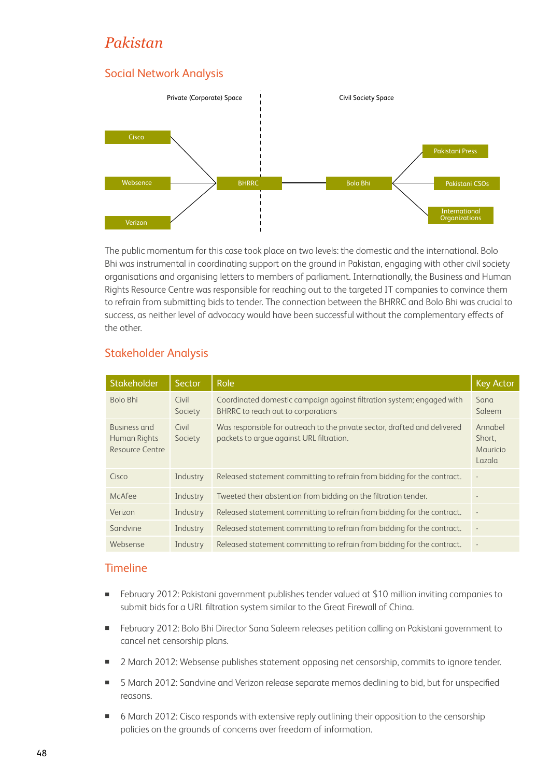# *Pakistan*

## Social Network Analysis



The public momentum for this case took place on two levels: the domestic and the international. Bolo Bhi was instrumental in coordinating support on the ground in Pakistan, engaging with other civil society organisations and organising letters to members of parliament. Internationally, the Business and Human Rights Resource Centre was responsible for reaching out to the targeted IT companies to convince them to refrain from submitting bids to tender. The connection between the BHRRC and Bolo Bhi was crucial to success, as neither level of advocacy would have been successful without the complementary effects of the other.

## Stakeholder Analysis

| Stakeholder                                     | Sector           | Role                                                                                                                  | <b>Key Actor</b>                        |
|-------------------------------------------------|------------------|-----------------------------------------------------------------------------------------------------------------------|-----------------------------------------|
| Bolo Bhi                                        | Civil<br>Society | Coordinated domestic campaign against filtration system; engaged with<br>BHRRC to reach out to corporations           | Sana<br>Saleem                          |
| Business and<br>Human Rights<br>Resource Centre | Civil<br>Society | Was responsible for outreach to the private sector, drafted and delivered<br>packets to argue against URL filtration. | Annabel<br>Short,<br>Mauricio<br>Lazala |
| Cisco                                           | Industry         | Released statement committing to refrain from bidding for the contract.                                               |                                         |
| McAfee                                          | Industry         | Tweeted their abstention from bidding on the filtration tender.                                                       |                                         |
| Verizon                                         | Industry         | Released statement committing to refrain from bidding for the contract.                                               |                                         |
| Sandvine                                        | Industry         | Released statement committing to refrain from bidding for the contract.                                               |                                         |
| Websense                                        | Industry         | Released statement committing to refrain from bidding for the contract.                                               | $\overline{\phantom{a}}$                |

## Timeline

- February 2012: Pakistani government publishes tender valued at \$10 million inviting companies to submit bids for a URL filtration system similar to the Great Firewall of China.
- February 2012: Bolo Bhi Director Sana Saleem releases petition calling on Pakistani government to cancel net censorship plans.
- 2 March 2012: Websense publishes statement opposing net censorship, commits to ignore tender.
- 5 March 2012: Sandvine and Verizon release separate memos declining to bid, but for unspecified reasons.
- 6 March 2012: Cisco responds with extensive reply outlining their opposition to the censorship policies on the grounds of concerns over freedom of information.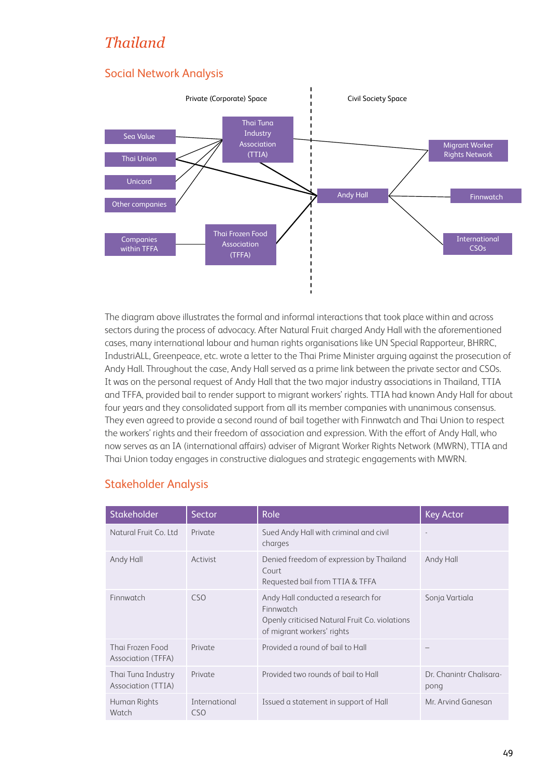# *Thailand*

# Social Network Analysis



The diagram above illustrates the formal and informal interactions that took place within and across sectors during the process of advocacy. After Natural Fruit charged Andy Hall with the aforementioned cases, many international labour and human rights organisations like UN Special Rapporteur, BHRRC, IndustriALL, Greenpeace, etc. wrote a letter to the Thai Prime Minister arguing against the prosecution of Andy Hall. Throughout the case, Andy Hall served as a prime link between the private sector and CSOs. It was on the personal request of Andy Hall that the two major industry associations in Thailand, TTIA and TFFA, provided bail to render support to migrant workers' rights. TTIA had known Andy Hall for about four years and they consolidated support from all its member companies with unanimous consensus. They even agreed to provide a second round of bail together with Finnwatch and Thai Union to respect the workers' rights and their freedom of association and expression. With the effort of Andy Hall, who now serves as an IA (international affairs) adviser of Migrant Worker Rights Network (MWRN), TTIA and Thai Union today engages in constructive dialogues and strategic engagements with MWRN.

| Stakeholder                              | Sector                           | Role                                                                                                                            | <b>Key Actor</b>                |
|------------------------------------------|----------------------------------|---------------------------------------------------------------------------------------------------------------------------------|---------------------------------|
| Natural Fruit Co. Ltd                    | Private                          | Sued Andy Hall with criminal and civil<br>charges                                                                               |                                 |
| Andy Hall                                | Activist                         | Denied freedom of expression by Thailand<br>Court<br>Requested bail from TTIA & TFFA                                            | Andy Hall                       |
| Finnwatch                                | CSO                              | Andy Hall conducted a research for<br>Finnwatch<br>Openly criticised Natural Fruit Co. violations<br>of migrant workers' rights | Sonja Vartiala                  |
| Thai Frozen Food<br>Association (TFFA)   | Private                          | Provided a round of bail to Hall                                                                                                |                                 |
| Thai Tuna Industry<br>Association (TTIA) | Private                          | Provided two rounds of bail to Hall                                                                                             | Dr. Chanintr Chalisara-<br>pong |
| Human Rights<br>Watch                    | International<br>CS <sub>O</sub> | Issued a statement in support of Hall                                                                                           | Mr. Arvind Ganesan              |

## Stakeholder Analysis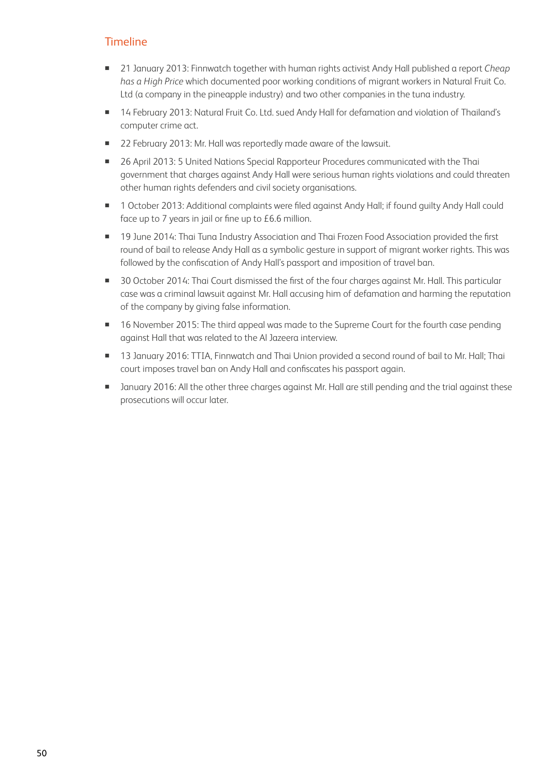## **Timeline**

- 21 January 2013: Finnwatch together with human rights activist Andy Hall published a report *Cheap has a High Price* which documented poor working conditions of migrant workers in Natural Fruit Co. Ltd (a company in the pineapple industry) and two other companies in the tuna industry.
- 14 February 2013: Natural Fruit Co. Ltd. sued Andy Hall for defamation and violation of Thailand's computer crime act.
- 22 February 2013: Mr. Hall was reportedly made aware of the lawsuit.
- 26 April 2013: 5 United Nations Special Rapporteur Procedures communicated with the Thai government that charges against Andy Hall were serious human rights violations and could threaten other human rights defenders and civil society organisations.
- 1 October 2013: Additional complaints were filed against Andy Hall; if found guilty Andy Hall could face up to 7 years in jail or fine up to £6.6 million.
- **19** June 2014: Thai Tuna Industry Association and Thai Frozen Food Association provided the first round of bail to release Andy Hall as a symbolic gesture in support of migrant worker rights. This was followed by the confiscation of Andy Hall's passport and imposition of travel ban.
- 30 October 2014: Thai Court dismissed the first of the four charges against Mr. Hall. This particular case was a criminal lawsuit against Mr. Hall accusing him of defamation and harming the reputation of the company by giving false information.
- 16 November 2015: The third appeal was made to the Supreme Court for the fourth case pending against Hall that was related to the Al Jazeera interview.
- 13 January 2016: TTIA, Finnwatch and Thai Union provided a second round of bail to Mr. Hall; Thai court imposes travel ban on Andy Hall and confiscates his passport again.
- **I** January 2016: All the other three charges against Mr. Hall are still pending and the trial against these prosecutions will occur later.